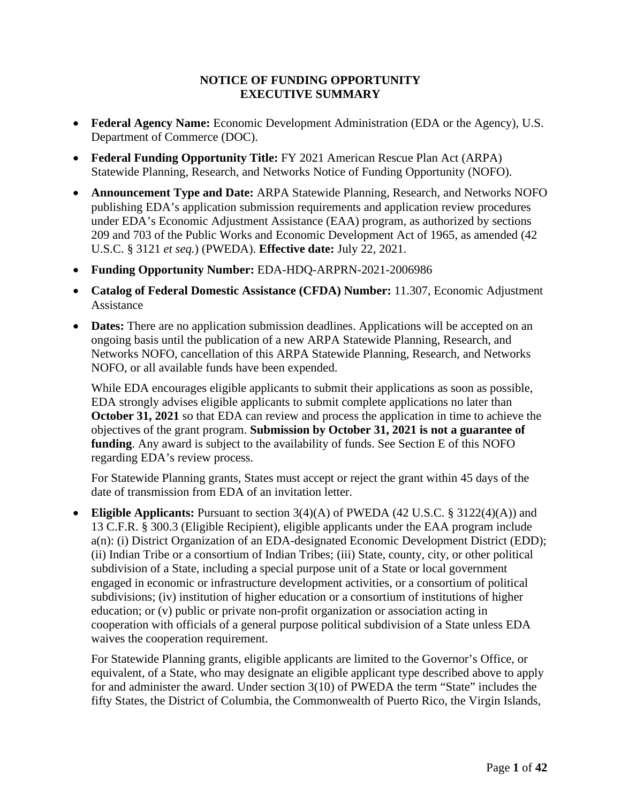## **NOTICE OF FUNDING OPPORTUNITY EXECUTIVE SUMMARY**

- **Federal Agency Name:** Economic Development Administration (EDA or the Agency), U.S. Department of Commerce (DOC).
- **Federal Funding Opportunity Title:** FY 2021 American Rescue Plan Act (ARPA) Statewide Planning, Research, and Networks Notice of Funding Opportunity (NOFO).
- **Announcement Type and Date:** ARPA Statewide Planning, Research, and Networks NOFO publishing EDA's application submission requirements and application review procedures under EDA's Economic Adjustment Assistance (EAA) program, as authorized by sections 209 and 703 of the Public Works and Economic Development Act of 1965, as amended (42 U.S.C. § 3121 *et seq.*) (PWEDA). **Effective date:** July 22, 2021.
- **Funding Opportunity Number:** EDA-HDQ-ARPRN-2021-2006986
- **Catalog of Federal Domestic Assistance (CFDA) Number:** 11.307, Economic Adjustment Assistance
- **Dates:** There are no application submission deadlines. Applications will be accepted on an ongoing basis until the publication of a new ARPA Statewide Planning, Research, and Networks NOFO, cancellation of this ARPA Statewide Planning, Research, and Networks NOFO, or all available funds have been expended.

While EDA encourages eligible applicants to submit their applications as soon as possible, EDA strongly advises eligible applicants to submit complete applications no later than **October 31, 2021** so that EDA can review and process the application in time to achieve the objectives of the grant program. **Submission by October 31, 2021 is not a guarantee of funding**. Any award is subject to the availability of funds. See Section [E](#page-21-0) of this NOFO regarding EDA's review process.

For Statewide Planning grants, States must accept or reject the grant within 45 days of the date of transmission from EDA of an invitation letter.

• **Eligible Applicants:** Pursuant to section 3(4)(A) of PWEDA (42 U.S.C. § 3122(4)(A)) and 13 C.F.R. § 300.3 (Eligible Recipient), eligible applicants under the EAA program include a(n): (i) District Organization of an EDA-designated Economic Development District (EDD); (ii) Indian Tribe or a consortium of Indian Tribes; (iii) State, county, city, or other political subdivision of a State, including a special purpose unit of a State or local government engaged in economic or infrastructure development activities, or a consortium of political subdivisions; (iv) institution of higher education or a consortium of institutions of higher education; or (v) public or private non-profit organization or association acting in cooperation with officials of a general purpose political subdivision of a State unless EDA waives the cooperation requirement.

For Statewide Planning grants, eligible applicants are limited to the Governor's Office, or equivalent, of a State, who may designate an eligible applicant type described above to apply for and administer the award. Under section 3(10) of PWEDA the term "State" includes the fifty States, the District of Columbia, the Commonwealth of Puerto Rico, the Virgin Islands,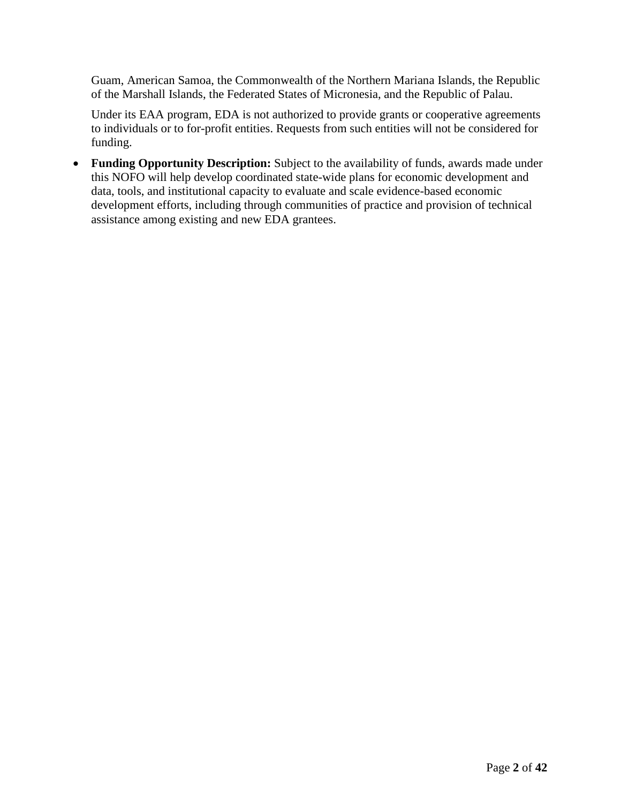Guam, American Samoa, the Commonwealth of the Northern Mariana Islands, the Republic of the Marshall Islands, the Federated States of Micronesia, and the Republic of Palau.

Under its EAA program, EDA is not authorized to provide grants or cooperative agreements to individuals or to for-profit entities. Requests from such entities will not be considered for funding.

• **Funding Opportunity Description:** Subject to the availability of funds, awards made under this NOFO will help develop coordinated state-wide plans for economic development and data, tools, and institutional capacity to evaluate and scale evidence-based economic development efforts, including through communities of practice and provision of technical assistance among existing and new EDA grantees.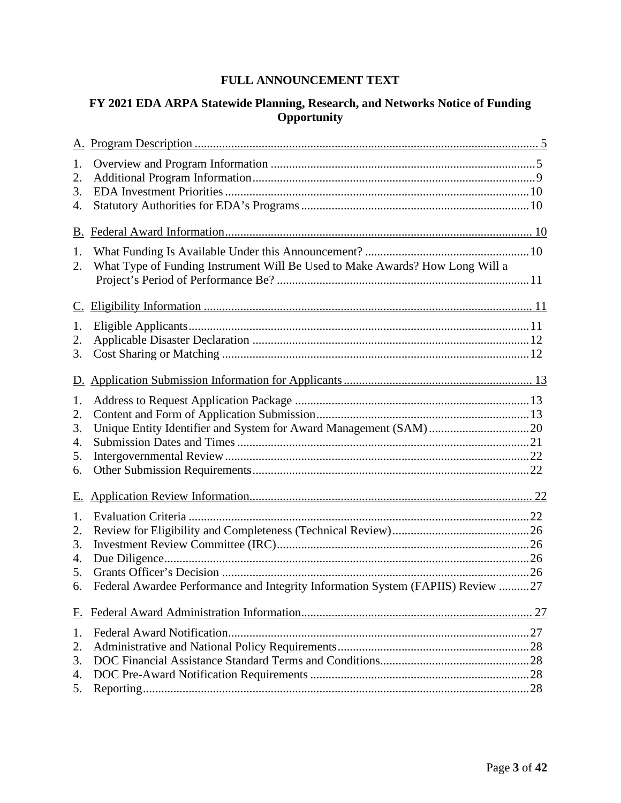# **FULL ANNOUNCEMENT TEXT**

# **FY 2021 EDA ARPA Statewide Planning, Research, and Networks Notice of Funding Opportunity**

| 1.<br>2.<br>3.<br>4.             |                                                                                 |  |
|----------------------------------|---------------------------------------------------------------------------------|--|
|                                  |                                                                                 |  |
| 1.<br>2.                         | What Type of Funding Instrument Will Be Used to Make Awards? How Long Will a    |  |
|                                  |                                                                                 |  |
| 1.<br>2.<br>3.                   |                                                                                 |  |
| <u>D.</u>                        |                                                                                 |  |
| 1.<br>2.<br>3.<br>4.<br>5.<br>6. |                                                                                 |  |
| Е.                               |                                                                                 |  |
| 1.<br>2.<br>3.<br>4.<br>5.<br>6. | Federal Awardee Performance and Integrity Information System (FAPIIS) Review 27 |  |
| <u>F.</u>                        |                                                                                 |  |
| 1.<br>2.<br>3.<br>4.<br>5.       |                                                                                 |  |
|                                  |                                                                                 |  |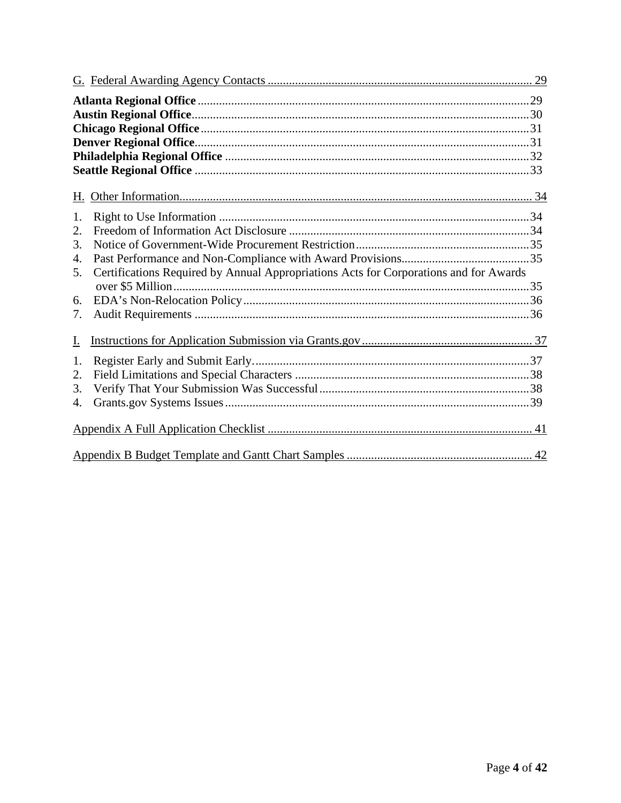| 1.        |                                                                                       |  |  |  |  |  |  |
|-----------|---------------------------------------------------------------------------------------|--|--|--|--|--|--|
| 2.        |                                                                                       |  |  |  |  |  |  |
| 3.        |                                                                                       |  |  |  |  |  |  |
| 4.        |                                                                                       |  |  |  |  |  |  |
| 5.        | Certifications Required by Annual Appropriations Acts for Corporations and for Awards |  |  |  |  |  |  |
|           |                                                                                       |  |  |  |  |  |  |
| 6.        |                                                                                       |  |  |  |  |  |  |
| 7.        |                                                                                       |  |  |  |  |  |  |
| <u>I.</u> |                                                                                       |  |  |  |  |  |  |
| 1.        |                                                                                       |  |  |  |  |  |  |
| 2.        |                                                                                       |  |  |  |  |  |  |
| 3.        |                                                                                       |  |  |  |  |  |  |
| 4.        |                                                                                       |  |  |  |  |  |  |
|           |                                                                                       |  |  |  |  |  |  |
|           |                                                                                       |  |  |  |  |  |  |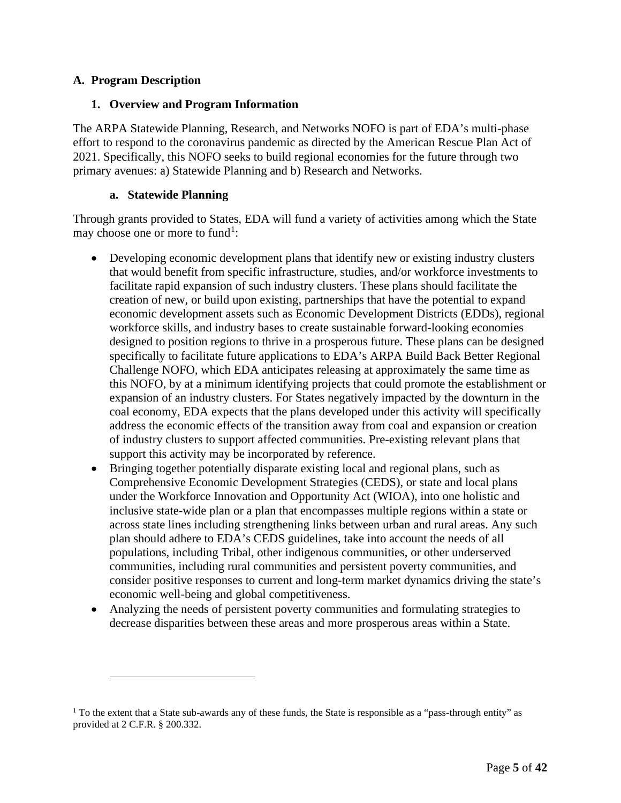## <span id="page-4-0"></span>**A. Program Description**

### <span id="page-4-1"></span>**1. Overview and Program Information**

The ARPA Statewide Planning, Research, and Networks NOFO is part of EDA's multi-phase effort to respond to the coronavirus pandemic as directed by the American Rescue Plan Act of 2021. Specifically, this NOFO seeks to build regional economies for the future through two primary avenues: a) Statewide Planning and b) Research and Networks.

### **a. Statewide Planning**

Through grants provided to States, EDA will fund a variety of activities among which the State may choose one or more to fund<sup>[1](#page-4-2)</sup>:

- Developing economic development plans that identify new or existing industry clusters that would benefit from specific infrastructure, studies, and/or workforce investments to facilitate rapid expansion of such industry clusters. These plans should facilitate the creation of new, or build upon existing, partnerships that have the potential to expand economic development assets such as Economic Development Districts (EDDs), regional workforce skills, and industry bases to create sustainable forward-looking economies designed to position regions to thrive in a prosperous future. These plans can be designed specifically to facilitate future applications to EDA's ARPA Build Back Better Regional Challenge NOFO, which EDA anticipates releasing at approximately the same time as this NOFO, by at a minimum identifying projects that could promote the establishment or expansion of an industry clusters. For States negatively impacted by the downturn in the coal economy, EDA expects that the plans developed under this activity will specifically address the economic effects of the transition away from coal and expansion or creation of industry clusters to support affected communities. Pre-existing relevant plans that support this activity may be incorporated by reference.
- Bringing together potentially disparate existing local and regional plans, such as Comprehensive Economic Development Strategies (CEDS), or state and local plans under the Workforce Innovation and Opportunity Act (WIOA), into one holistic and inclusive state-wide plan or a plan that encompasses multiple regions within a state or across state lines including strengthening links between urban and rural areas. Any such plan should adhere to EDA's CEDS guidelines, take into account the needs of all populations, including Tribal, other indigenous communities, or other underserved communities, including rural communities and persistent poverty communities, and consider positive responses to current and long-term market dynamics driving the state's economic well-being and global competitiveness.
- Analyzing the needs of persistent poverty communities and formulating strategies to decrease disparities between these areas and more prosperous areas within a State.

<span id="page-4-2"></span> $<sup>1</sup>$  To the extent that a State sub-awards any of these funds, the State is responsible as a "pass-through entity" as</sup> provided at 2 C.F.R. § 200.332.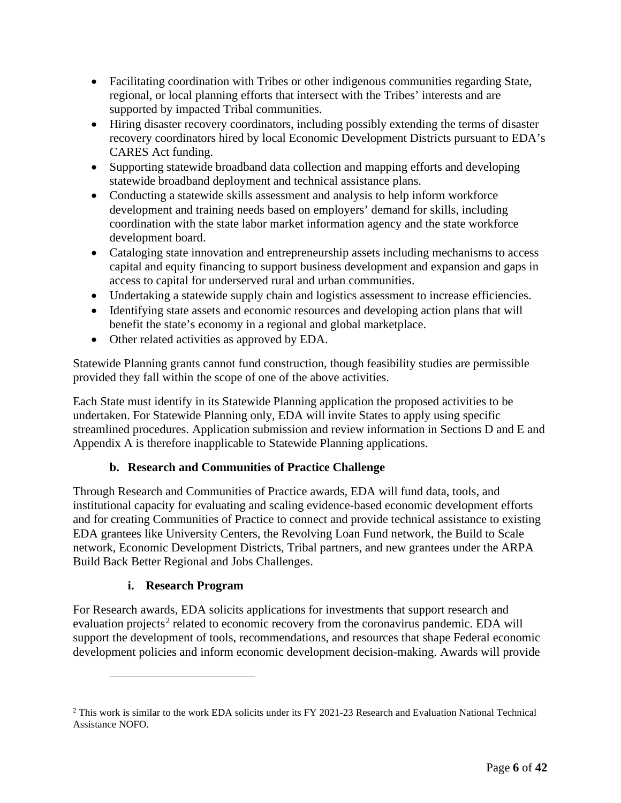- Facilitating coordination with Tribes or other indigenous communities regarding State, regional, or local planning efforts that intersect with the Tribes' interests and are supported by impacted Tribal communities.
- Hiring disaster recovery coordinators, including possibly extending the terms of disaster recovery coordinators hired by local Economic Development Districts pursuant to EDA's CARES Act funding.
- Supporting statewide broadband data collection and mapping efforts and developing statewide broadband deployment and technical assistance plans.
- Conducting a statewide skills assessment and analysis to help inform workforce development and training needs based on employers' demand for skills, including coordination with the state labor market information agency and the state workforce development board.
- Cataloging state innovation and entrepreneurship assets including mechanisms to access capital and equity financing to support business development and expansion and gaps in access to capital for underserved rural and urban communities.
- Undertaking a statewide supply chain and logistics assessment to increase efficiencies.
- Identifying state assets and economic resources and developing action plans that will benefit the state's economy in a regional and global marketplace.
- Other related activities as approved by EDA.

Statewide Planning grants cannot fund construction, though feasibility studies are permissible provided they fall within the scope of one of the above activities.

Each State must identify in its Statewide Planning application the proposed activities to be undertaken. For Statewide Planning only, EDA will invite States to apply using specific streamlined procedures. Application submission and review information in Sections [D](#page-12-0) and [E](#page-21-0) and Appendix A is therefore inapplicable to Statewide Planning applications.

# **b. Research and Communities of Practice Challenge**

Through Research and Communities of Practice awards, EDA will fund data, tools, and institutional capacity for evaluating and scaling evidence-based economic development efforts and for creating Communities of Practice to connect and provide technical assistance to existing EDA grantees like University Centers, the Revolving Loan Fund network, the Build to Scale network, Economic Development Districts, Tribal partners, and new grantees under the ARPA Build Back Better Regional and Jobs Challenges.

# **i. Research Program**

For Research awards, EDA solicits applications for investments that support research and evaluation projects<sup>[2](#page-5-0)</sup> related to economic recovery from the coronavirus pandemic. EDA will support the development of tools, recommendations, and resources that shape Federal economic development policies and inform economic development decision-making. Awards will provide

<span id="page-5-0"></span><sup>&</sup>lt;sup>2</sup> This work is similar to the work EDA solicits under its FY 2021-23 Research and Evaluation National Technical Assistance NOFO.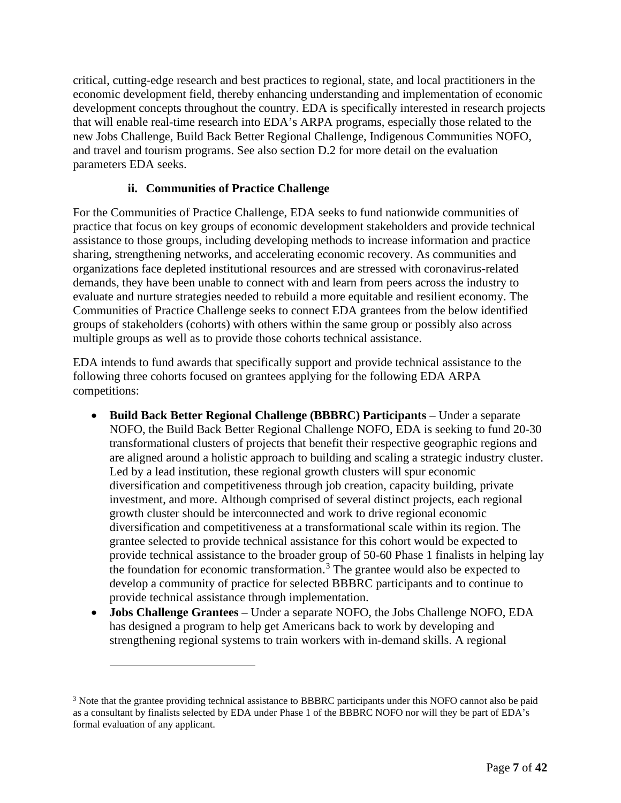critical, cutting-edge research and best practices to regional, state, and local practitioners in the economic development field, thereby enhancing understanding and implementation of economic development concepts throughout the country. EDA is specifically interested in research projects that will enable real-time research into EDA's ARPA programs, especially those related to the new Jobs Challenge, Build Back Better Regional Challenge, Indigenous Communities NOFO, and travel and tourism programs. See also section [D.2](#page-12-2) for more detail on the evaluation parameters EDA seeks.

# **ii. Communities of Practice Challenge**

For the Communities of Practice Challenge, EDA seeks to fund nationwide communities of practice that focus on key groups of economic development stakeholders and provide technical assistance to those groups, including developing methods to increase information and practice sharing, strengthening networks, and accelerating economic recovery. As communities and organizations face depleted institutional resources and are stressed with coronavirus-related demands, they have been unable to connect with and learn from peers across the industry to evaluate and nurture strategies needed to rebuild a more equitable and resilient economy. The Communities of Practice Challenge seeks to connect EDA grantees from the below identified groups of stakeholders (cohorts) with others within the same group or possibly also across multiple groups as well as to provide those cohorts technical assistance.

EDA intends to fund awards that specifically support and provide technical assistance to the following three cohorts focused on grantees applying for the following EDA ARPA competitions:

- **Build Back Better Regional Challenge (BBBRC) Participants** Under a separate NOFO, the Build Back Better Regional Challenge NOFO, EDA is seeking to fund 20-30 transformational clusters of projects that benefit their respective geographic regions and are aligned around a holistic approach to building and scaling a strategic industry cluster. Led by a lead institution, these regional growth clusters will spur economic diversification and competitiveness through job creation, capacity building, private investment, and more. Although comprised of several distinct projects, each regional growth cluster should be interconnected and work to drive regional economic diversification and competitiveness at a transformational scale within its region. The grantee selected to provide technical assistance for this cohort would be expected to provide technical assistance to the broader group of 50-60 Phase 1 finalists in helping lay the foundation for economic transformation.<sup>[3](#page-6-0)</sup> The grantee would also be expected to develop a community of practice for selected BBBRC participants and to continue to provide technical assistance through implementation.
- **Jobs Challenge Grantees** Under a separate NOFO, the Jobs Challenge NOFO, EDA has designed a program to help get Americans back to work by developing and strengthening regional systems to train workers with in-demand skills. A regional

<span id="page-6-0"></span><sup>&</sup>lt;sup>3</sup> Note that the grantee providing technical assistance to BBBRC participants under this NOFO cannot also be paid as a consultant by finalists selected by EDA under Phase 1 of the BBBRC NOFO nor will they be part of EDA's formal evaluation of any applicant.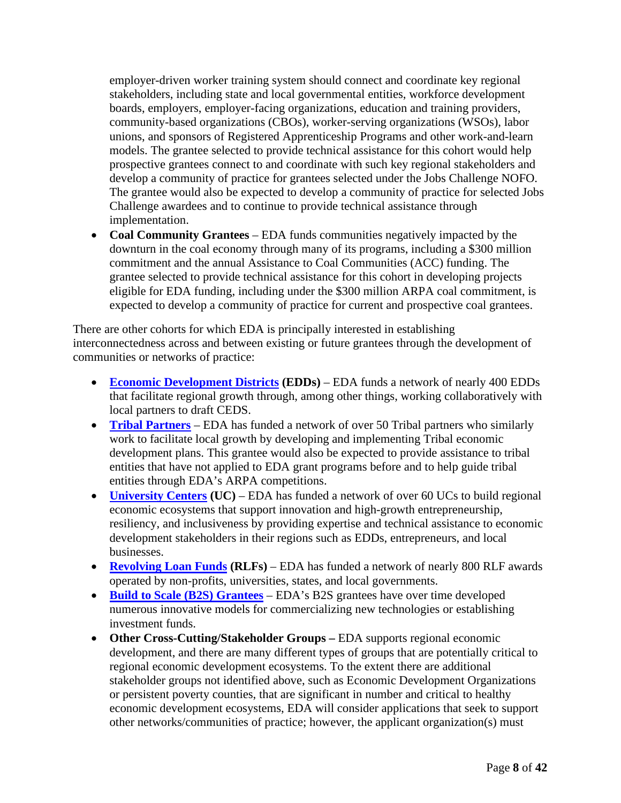employer-driven worker training system should connect and coordinate key regional stakeholders, including state and local governmental entities, workforce development boards, employers, employer-facing organizations, education and training providers, community-based organizations (CBOs), worker-serving organizations (WSOs), labor unions, and sponsors of Registered Apprenticeship Programs and other work-and-learn models. The grantee selected to provide technical assistance for this cohort would help prospective grantees connect to and coordinate with such key regional stakeholders and develop a community of practice for grantees selected under the Jobs Challenge NOFO. The grantee would also be expected to develop a community of practice for selected Jobs Challenge awardees and to continue to provide technical assistance through implementation.

• **Coal Community Grantees** – EDA funds communities negatively impacted by the downturn in the coal economy through many of its programs, including a \$300 million commitment and the annual Assistance to Coal Communities (ACC) funding. The grantee selected to provide technical assistance for this cohort in developing projects eligible for EDA funding, including under the \$300 million ARPA coal commitment, is expected to develop a community of practice for current and prospective coal grantees.

There are other cohorts for which EDA is principally interested in establishing interconnectedness across and between existing or future grantees through the development of communities or networks of practice:

- **[Economic Development Districts](https://www.eda.gov/edd/) (EDDs)** EDA funds a network of nearly 400 EDDs that facilitate regional growth through, among other things, working collaboratively with local partners to draft CEDS.
- **[Tribal Partners](https://www.eda.gov/tribal/)** EDA has funded a network of over 50 Tribal partners who similarly work to facilitate local growth by developing and implementing Tribal economic development plans. This grantee would also be expected to provide assistance to tribal entities that have not applied to EDA grant programs before and to help guide tribal entities through EDA's ARPA competitions.
- **[University Centers](https://www.eda.gov/programs/university-centers/) (UC)** EDA has funded a network of over 60 UCs to build regional economic ecosystems that support innovation and high-growth entrepreneurship, resiliency, and inclusiveness by providing expertise and technical assistance to economic development stakeholders in their regions such as EDDs, entrepreneurs, and local businesses.
- **[Revolving Loan Funds](https://www.eda.gov/rlf/)** (RLFs) EDA has funded a network of nearly 800 RLF awards operated by non-profits, universities, states, and local governments.
- **[Build to Scale](https://www.eda.gov/oie/buildtoscale) (B2S) [Grantees](https://www.eda.gov/oie/buildtoscale)** EDA's B2S grantees have over time developed numerous innovative models for commercializing new technologies or establishing investment funds.
- **Other Cross-Cutting/Stakeholder Groups** EDA supports regional economic development, and there are many different types of groups that are potentially critical to regional economic development ecosystems. To the extent there are additional stakeholder groups not identified above, such as Economic Development Organizations or persistent poverty counties, that are significant in number and critical to healthy economic development ecosystems, EDA will consider applications that seek to support other networks/communities of practice; however, the applicant organization(s) must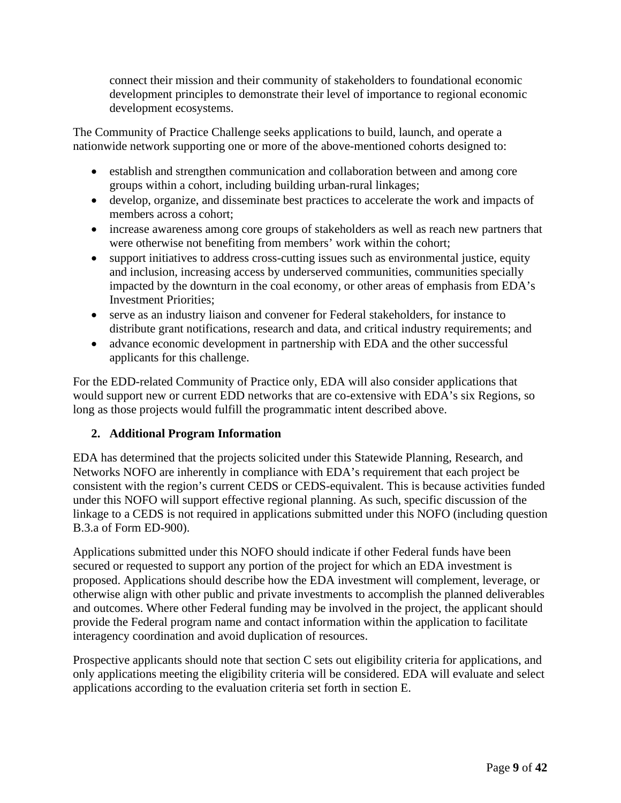connect their mission and their community of stakeholders to foundational economic development principles to demonstrate their level of importance to regional economic development ecosystems.

The Community of Practice Challenge seeks applications to build, launch, and operate a nationwide network supporting one or more of the above-mentioned cohorts designed to:

- establish and strengthen communication and collaboration between and among core groups within a cohort, including building urban-rural linkages;
- develop, organize, and disseminate best practices to accelerate the work and impacts of members across a cohort;
- increase awareness among core groups of stakeholders as well as reach new partners that were otherwise not benefiting from members' work within the cohort;
- support initiatives to address cross-cutting issues such as environmental justice, equity and inclusion, increasing access by underserved communities, communities specially impacted by the downturn in the coal economy, or other areas of emphasis from EDA's Investment Priorities;
- serve as an industry liaison and convener for Federal stakeholders, for instance to distribute grant notifications, research and data, and critical industry requirements; and
- advance economic development in partnership with EDA and the other successful applicants for this challenge.

For the EDD-related Community of Practice only, EDA will also consider applications that would support new or current EDD networks that are co-extensive with EDA's six Regions, so long as those projects would fulfill the programmatic intent described above.

# <span id="page-8-0"></span>**2. Additional Program Information**

EDA has determined that the projects solicited under this Statewide Planning, Research, and Networks NOFO are inherently in compliance with EDA's requirement that each project be consistent with the region's current CEDS or CEDS-equivalent. This is because activities funded under this NOFO will support effective regional planning. As such, specific discussion of the linkage to a CEDS is not required in applications submitted under this NOFO (including question B.3.a of Form ED-900).

Applications submitted under this NOFO should indicate if other Federal funds have been secured or requested to support any portion of the project for which an EDA investment is proposed. Applications should describe how the EDA investment will complement, leverage, or otherwise align with other public and private investments to accomplish the planned deliverables and outcomes. Where other Federal funding may be involved in the project, the applicant should provide the Federal program name and contact information within the application to facilitate interagency coordination and avoid duplication of resources.

Prospective applicants should note that section [C](#page-10-1) sets out eligibility criteria for applications, and only applications meeting the eligibility criteria will be considered. EDA will evaluate and select applications according to the evaluation criteria set forth in section [E.](#page-21-0)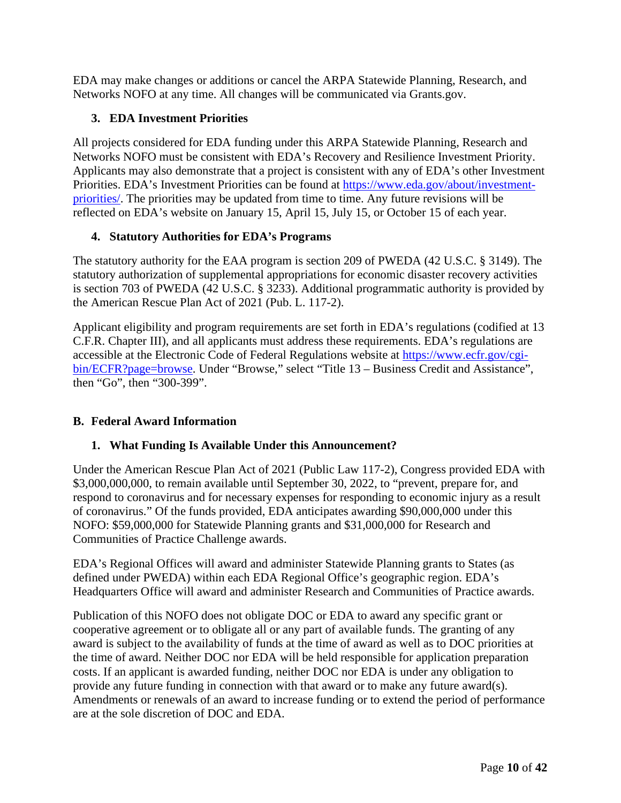EDA may make changes or additions or cancel the ARPA Statewide Planning, Research, and Networks NOFO at any time. All changes will be communicated via Grants.gov.

# <span id="page-9-0"></span>**3. EDA Investment Priorities**

All projects considered for EDA funding under this ARPA Statewide Planning, Research and Networks NOFO must be consistent with EDA's Recovery and Resilience Investment Priority. Applicants may also demonstrate that a project is consistent with any of EDA's other Investment Priorities. EDA's Investment Priorities can be found at [https://www.eda.gov/about/investment](https://www.eda.gov/about/investment-priorities/)[priorities/.](https://www.eda.gov/about/investment-priorities/) The priorities may be updated from time to time. Any future revisions will be reflected on EDA's website on January 15, April 15, July 15, or October 15 of each year.

# <span id="page-9-1"></span>**4. Statutory Authorities for EDA's Programs**

The statutory authority for the EAA program is section 209 of PWEDA (42 U.S.C. § 3149). The statutory authorization of supplemental appropriations for economic disaster recovery activities is section 703 of PWEDA (42 U.S.C. § 3233). Additional programmatic authority is provided by the American Rescue Plan Act of 2021 (Pub. L. 117-2).

Applicant eligibility and program requirements are set forth in EDA's regulations (codified at 13 C.F.R. Chapter III), and all applicants must address these requirements. EDA's regulations are accessible at the Electronic Code of Federal Regulations website at [https://www.ecfr.gov/cgi](https://www.ecfr.gov/cgi-bin/ECFR?page=browse)[bin/ECFR?page=browse.](https://www.ecfr.gov/cgi-bin/ECFR?page=browse) Under "Browse," select "Title 13 – Business Credit and Assistance", then "Go", then "300-399".

# <span id="page-9-2"></span>**B. Federal Award Information**

# <span id="page-9-3"></span>**1. What Funding Is Available Under this Announcement?**

Under the American Rescue Plan Act of 2021 (Public Law 117-2), Congress provided EDA with \$3,000,000,000, to remain available until September 30, 2022, to "prevent, prepare for, and respond to coronavirus and for necessary expenses for responding to economic injury as a result of coronavirus." Of the funds provided, EDA anticipates awarding \$90,000,000 under this NOFO: \$59,000,000 for Statewide Planning grants and \$31,000,000 for Research and Communities of Practice Challenge awards.

EDA's Regional Offices will award and administer Statewide Planning grants to States (as defined under PWEDA) within each EDA Regional Office's geographic region. EDA's Headquarters Office will award and administer Research and Communities of Practice awards.

Publication of this NOFO does not obligate DOC or EDA to award any specific grant or cooperative agreement or to obligate all or any part of available funds. The granting of any award is subject to the availability of funds at the time of award as well as to DOC priorities at the time of award. Neither DOC nor EDA will be held responsible for application preparation costs. If an applicant is awarded funding, neither DOC nor EDA is under any obligation to provide any future funding in connection with that award or to make any future award(s). Amendments or renewals of an award to increase funding or to extend the period of performance are at the sole discretion of DOC and EDA.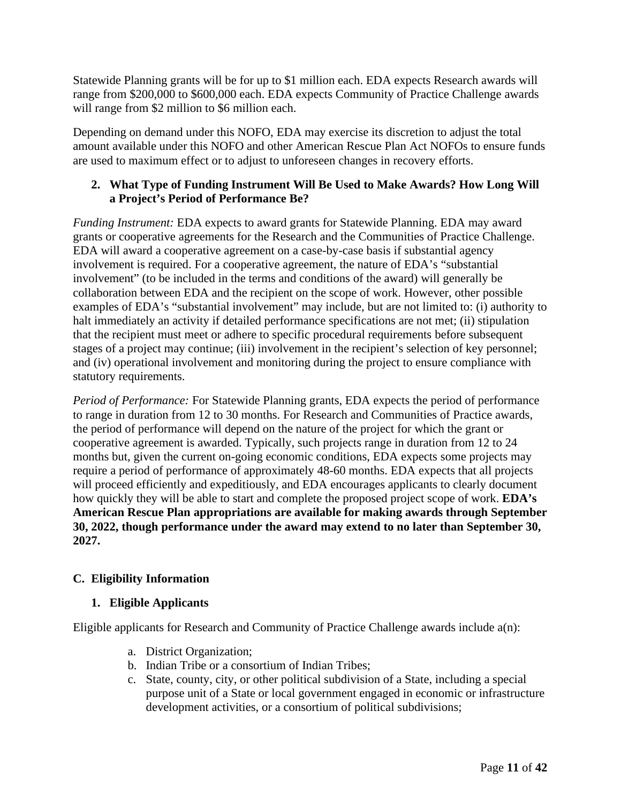Statewide Planning grants will be for up to \$1 million each. EDA expects Research awards will range from \$200,000 to \$600,000 each. EDA expects Community of Practice Challenge awards will range from \$2 million to \$6 million each.

Depending on demand under this NOFO, EDA may exercise its discretion to adjust the total amount available under this NOFO and other American Rescue Plan Act NOFOs to ensure funds are used to maximum effect or to adjust to unforeseen changes in recovery efforts.

## <span id="page-10-0"></span>**2. What Type of Funding Instrument Will Be Used to Make Awards? How Long Will a Project's Period of Performance Be?**

*Funding Instrument:* EDA expects to award grants for Statewide Planning. EDA may award grants or cooperative agreements for the Research and the Communities of Practice Challenge. EDA will award a cooperative agreement on a case-by-case basis if substantial agency involvement is required. For a cooperative agreement, the nature of EDA's "substantial involvement" (to be included in the terms and conditions of the award) will generally be collaboration between EDA and the recipient on the scope of work. However, other possible examples of EDA's "substantial involvement" may include, but are not limited to: (i) authority to halt immediately an activity if detailed performance specifications are not met; (ii) stipulation that the recipient must meet or adhere to specific procedural requirements before subsequent stages of a project may continue; (iii) involvement in the recipient's selection of key personnel; and (iv) operational involvement and monitoring during the project to ensure compliance with statutory requirements.

*Period of Performance:* For Statewide Planning grants, EDA expects the period of performance to range in duration from 12 to 30 months. For Research and Communities of Practice awards, the period of performance will depend on the nature of the project for which the grant or cooperative agreement is awarded. Typically, such projects range in duration from 12 to 24 months but, given the current on-going economic conditions, EDA expects some projects may require a period of performance of approximately 48-60 months. EDA expects that all projects will proceed efficiently and expeditiously, and EDA encourages applicants to clearly document how quickly they will be able to start and complete the proposed project scope of work. **EDA's American Rescue Plan appropriations are available for making awards through September 30, 2022, though performance under the award may extend to no later than September 30, 2027.**

# <span id="page-10-1"></span>**C. Eligibility Information**

# <span id="page-10-2"></span>**1. Eligible Applicants**

Eligible applicants for Research and Community of Practice Challenge awards include a(n):

- a. District Organization;
- b. Indian Tribe or a consortium of Indian Tribes;
- c. State, county, city, or other political subdivision of a State, including a special purpose unit of a State or local government engaged in economic or infrastructure development activities, or a consortium of political subdivisions;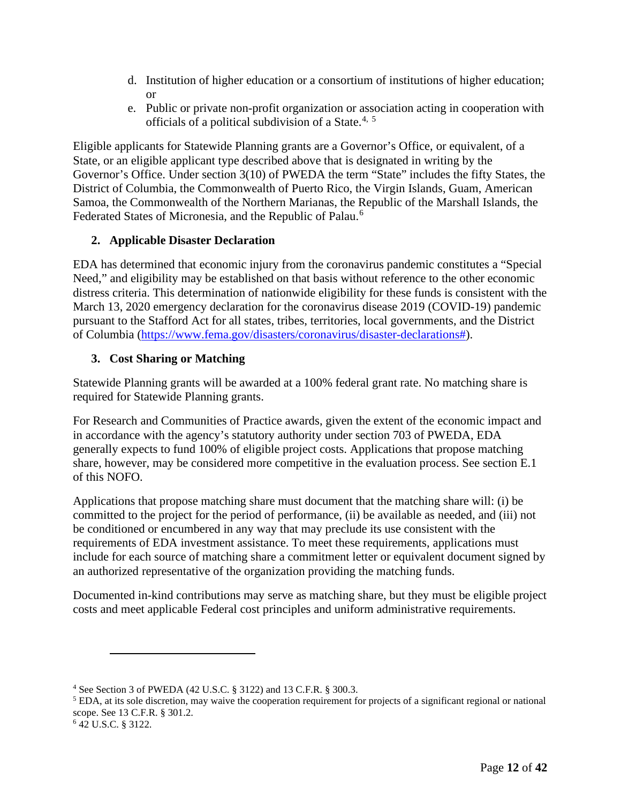- d. Institution of higher education or a consortium of institutions of higher education; or
- e. Public or private non-profit organization or association acting in cooperation with officials of a political subdivision of a State.<sup>[4](#page-11-2), [5](#page-11-3)</sup>

Eligible applicants for Statewide Planning grants are a Governor's Office, or equivalent, of a State, or an eligible applicant type described above that is designated in writing by the Governor's Office. Under section 3(10) of PWEDA the term "State" includes the fifty States, the District of Columbia, the Commonwealth of Puerto Rico, the Virgin Islands, Guam, American Samoa, the Commonwealth of the Northern Marianas, the Republic of the Marshall Islands, the Federated States of Micronesia, and the Republic of Palau.<sup>[6](#page-11-4)</sup>

## <span id="page-11-0"></span>**2. Applicable Disaster Declaration**

EDA has determined that economic injury from the coronavirus pandemic constitutes a "Special Need," and eligibility may be established on that basis without reference to the other economic distress criteria. This determination of nationwide eligibility for these funds is consistent with the March 13, 2020 emergency declaration for the coronavirus disease 2019 (COVID-19) pandemic pursuant to the Stafford Act for all states, tribes, territories, local governments, and the District of Columbia [\(https://www.fema.gov/disasters/coronavirus/disaster-declarations#\)](https://www.fema.gov/disasters/coronavirus/disaster-declarations).

## <span id="page-11-1"></span>**3. Cost Sharing or Matching**

Statewide Planning grants will be awarded at a 100% federal grant rate. No matching share is required for Statewide Planning grants.

For Research and Communities of Practice awards, given the extent of the economic impact and in accordance with the agency's statutory authority under section 703 of PWEDA, EDA generally expects to fund 100% of eligible project costs. Applications that propose matching share, however, may be considered more competitive in the evaluation process. See section [E.1](#page-21-3) of this NOFO.

Applications that propose matching share must document that the matching share will: (i) be committed to the project for the period of performance, (ii) be available as needed, and (iii) not be conditioned or encumbered in any way that may preclude its use consistent with the requirements of EDA investment assistance. To meet these requirements, applications must include for each source of matching share a commitment letter or equivalent document signed by an authorized representative of the organization providing the matching funds.

Documented in-kind contributions may serve as matching share, but they must be eligible project costs and meet applicable Federal cost principles and uniform administrative requirements.

<span id="page-11-2"></span><sup>4</sup> See Section 3 of PWEDA (42 U.S.C. § 3122) and 13 C.F.R. § 300.3.

<span id="page-11-3"></span> $<sup>5</sup>$  EDA, at its sole discretion, may waive the cooperation requirement for projects of a significant regional or national</sup> scope. See 13 C.F.R. § 301.2.

<span id="page-11-4"></span><sup>6</sup> 42 U.S.C. § 3122.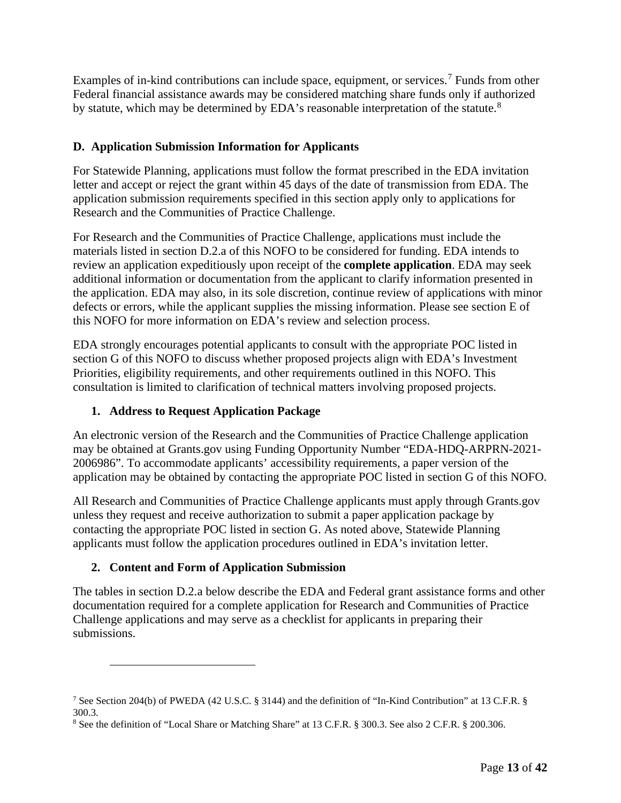Examples of in-kind contributions can include space, equipment, or services.<sup>[7](#page-12-3)</sup> Funds from other Federal financial assistance awards may be considered matching share funds only if authorized by statute, which may be determined by EDA's reasonable interpretation of the statute.<sup>[8](#page-12-4)</sup>

# <span id="page-12-0"></span>**D. Application Submission Information for Applicants**

For Statewide Planning, applications must follow the format prescribed in the EDA invitation letter and accept or reject the grant within 45 days of the date of transmission from EDA. The application submission requirements specified in this section apply only to applications for Research and the Communities of Practice Challenge.

For Research and the Communities of Practice Challenge, applications must include the materials listed in section [D.2.a](#page-13-0) of this NOFO to be considered for funding. EDA intends to review an application expeditiously upon receipt of the **complete application**. EDA may seek additional information or documentation from the applicant to clarify information presented in the application. EDA may also, in its sole discretion, continue review of applications with minor defects or errors, while the applicant supplies the missing information. Please see section [E](#page-21-0) of this NOFO for more information on EDA's review and selection process.

EDA strongly encourages potential applicants to consult with the appropriate POC listed in section [G](#page-28-0) of this NOFO to discuss whether proposed projects align with EDA's Investment Priorities, eligibility requirements, and other requirements outlined in this NOFO. This consultation is limited to clarification of technical matters involving proposed projects.

# <span id="page-12-1"></span>**1. Address to Request Application Package**

An electronic version of the Research and the Communities of Practice Challenge application may be obtained at Grants.gov using Funding Opportunity Number "EDA-HDQ-ARPRN-2021- 2006986". To accommodate applicants' accessibility requirements, a paper version of the application may be obtained by contacting the appropriate POC listed in section [G](#page-28-0) of this NOFO.

All Research and Communities of Practice Challenge applicants must apply through Grants.gov unless they request and receive authorization to submit a paper application package by contacting the appropriate POC listed in section [G.](#page-28-0) As noted above, Statewide Planning applicants must follow the application procedures outlined in EDA's invitation letter.

# <span id="page-12-2"></span>**2. Content and Form of Application Submission**

The tables in section [D.2.a](#page-13-0) below describe the EDA and Federal grant assistance forms and other documentation required for a complete application for Research and Communities of Practice Challenge applications and may serve as a checklist for applicants in preparing their submissions.

<span id="page-12-3"></span><sup>7</sup> See Section 204(b) of PWEDA (42 U.S.C. § 3144) and the definition of "In-Kind Contribution" at 13 C.F.R. § 300.3.

<span id="page-12-4"></span><sup>8</sup> See the definition of "Local Share or Matching Share" at 13 C.F.R. § 300.3. See also 2 C.F.R. § 200.306.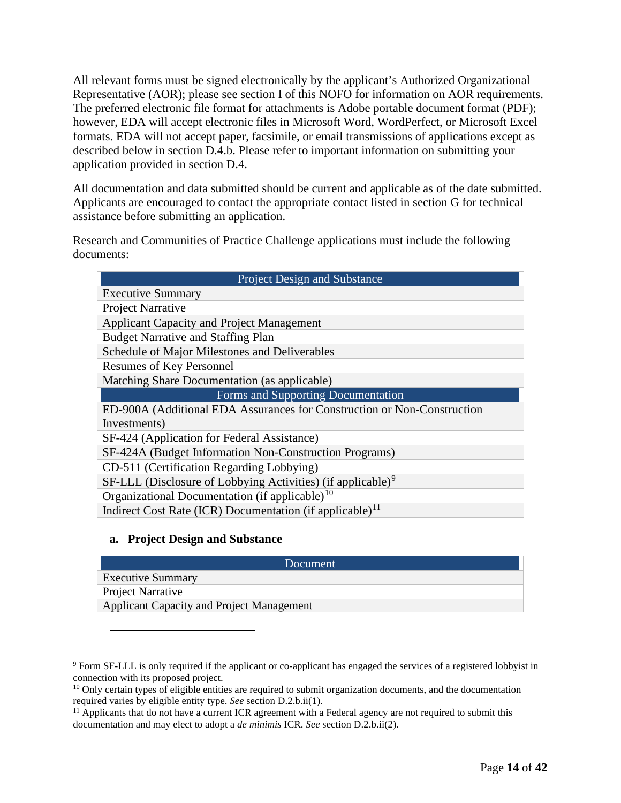All relevant forms must be signed electronically by the applicant's Authorized Organizational Representative (AOR); please see section [I](#page-36-0) of this NOFO for information on AOR requirements. The preferred electronic file format for attachments is Adobe portable document format (PDF); however, EDA will accept electronic files in Microsoft Word, WordPerfect, or Microsoft Excel formats. EDA will not accept paper, facsimile, or email transmissions of applications except as described below in section [D.4.b.](#page-20-1) Please refer to important information on submitting your application provided in section [D.4.](#page-20-0)

All documentation and data submitted should be current and applicable as of the date submitted. Applicants are encouraged to contact the appropriate contact listed in section [G](#page-28-0) for technical assistance before submitting an application.

Research and Communities of Practice Challenge applications must include the following documents:

| <b>Project Design and Substance</b>                                     |  |  |  |  |  |
|-------------------------------------------------------------------------|--|--|--|--|--|
| <b>Executive Summary</b>                                                |  |  |  |  |  |
| Project Narrative                                                       |  |  |  |  |  |
| <b>Applicant Capacity and Project Management</b>                        |  |  |  |  |  |
| <b>Budget Narrative and Staffing Plan</b>                               |  |  |  |  |  |
| Schedule of Major Milestones and Deliverables                           |  |  |  |  |  |
| <b>Resumes of Key Personnel</b>                                         |  |  |  |  |  |
| Matching Share Documentation (as applicable)                            |  |  |  |  |  |
| Forms and Supporting Documentation                                      |  |  |  |  |  |
| ED-900A (Additional EDA Assurances for Construction or Non-Construction |  |  |  |  |  |
| Investments)                                                            |  |  |  |  |  |
| SF-424 (Application for Federal Assistance)                             |  |  |  |  |  |
| SF-424A (Budget Information Non-Construction Programs)                  |  |  |  |  |  |
| CD-511 (Certification Regarding Lobbying)                               |  |  |  |  |  |
| SF-LLL (Disclosure of Lobbying Activities) (if applicable) <sup>9</sup> |  |  |  |  |  |
| Organizational Documentation (if applicable) $10$                       |  |  |  |  |  |
| Indirect Cost Rate (ICR) Documentation (if applicable) <sup>11</sup>    |  |  |  |  |  |

### **a. Project Design and Substance**

<span id="page-13-0"></span>

| Document                                  |  |  |  |  |  |
|-------------------------------------------|--|--|--|--|--|
| <b>Executive Summary</b>                  |  |  |  |  |  |
| <b>Project Narrative</b>                  |  |  |  |  |  |
| Applicant Capacity and Project Management |  |  |  |  |  |

<span id="page-13-1"></span><sup>9</sup> Form SF-LLL is only required if the applicant or co-applicant has engaged the services of a registered lobbyist in connection with its proposed project.

<span id="page-13-2"></span><sup>&</sup>lt;sup>10</sup> Only certain types of eligible entities are required to submit organization documents, and the documentation required varies by eligible entity type. *See* section [D.2.b.ii\(1\).](#page-18-0)

<span id="page-13-3"></span><sup>&</sup>lt;sup>11</sup> Applicants that do not have a current ICR agreement with a Federal agency are not required to submit this documentation and may elect to adopt a *de minimis* ICR. *See* section [D.2.b.ii\(2\).](#page-18-1)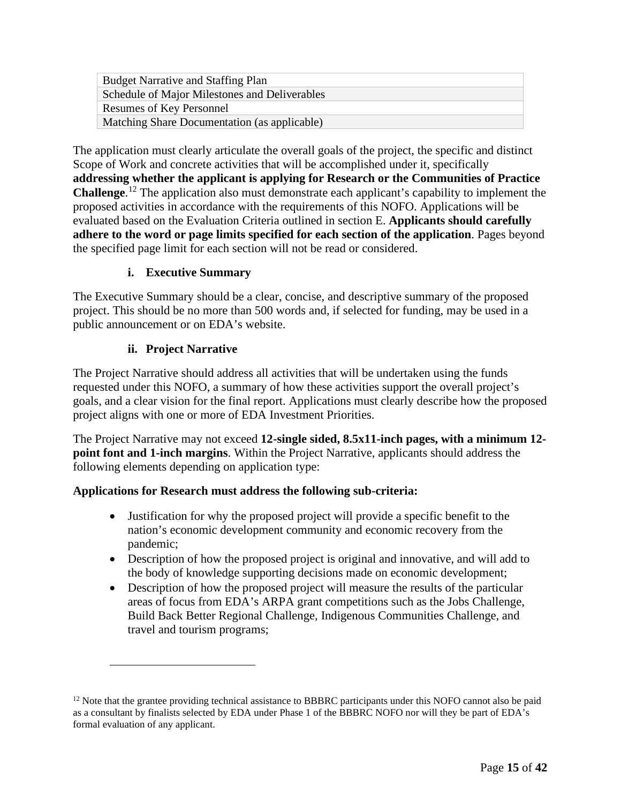| <b>Budget Narrative and Staffing Plan</b>     |
|-----------------------------------------------|
| Schedule of Major Milestones and Deliverables |
| <b>Resumes of Key Personnel</b>               |
| Matching Share Documentation (as applicable)  |

The application must clearly articulate the overall goals of the project, the specific and distinct Scope of Work and concrete activities that will be accomplished under it, specifically **addressing whether the applicant is applying for Research or the Communities of Practice Challenge**. [12](#page-14-0) The application also must demonstrate each applicant's capability to implement the proposed activities in accordance with the requirements of this NOFO. Applications will be evaluated based on the Evaluation Criteria outlined in section [E.](#page-21-0) **Applicants should carefully adhere to the word or page limits specified for each section of the application**. Pages beyond the specified page limit for each section will not be read or considered.

# **i. Executive Summary**

<span id="page-14-1"></span>The Executive Summary should be a clear, concise, and descriptive summary of the proposed project. This should be no more than 500 words and, if selected for funding, may be used in a public announcement or on EDA's website.

# **ii. Project Narrative**

<span id="page-14-2"></span>The Project Narrative should address all activities that will be undertaken using the funds requested under this NOFO, a summary of how these activities support the overall project's goals, and a clear vision for the final report. Applications must clearly describe how the proposed project aligns with one or more of EDA Investment Priorities.

The Project Narrative may not exceed **12-single sided, 8.5x11-inch pages, with a minimum 12 point font and 1-inch margins**. Within the Project Narrative, applicants should address the following elements depending on application type:

# **Applications for Research must address the following sub-criteria:**

- Justification for why the proposed project will provide a specific benefit to the nation's economic development community and economic recovery from the pandemic;
- Description of how the proposed project is original and innovative, and will add to the body of knowledge supporting decisions made on economic development;
- Description of how the proposed project will measure the results of the particular areas of focus from EDA's ARPA grant competitions such as the Jobs Challenge, Build Back Better Regional Challenge, Indigenous Communities Challenge, and travel and tourism programs;

<span id="page-14-0"></span> $12$  Note that the grantee providing technical assistance to BBBRC participants under this NOFO cannot also be paid as a consultant by finalists selected by EDA under Phase 1 of the BBBRC NOFO nor will they be part of EDA's formal evaluation of any applicant.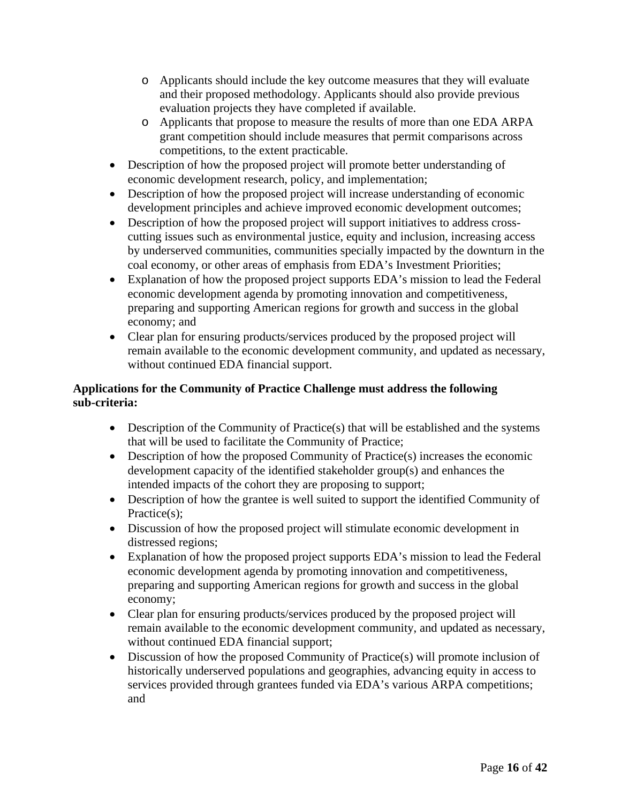- o Applicants should include the key outcome measures that they will evaluate and their proposed methodology. Applicants should also provide previous evaluation projects they have completed if available.
- o Applicants that propose to measure the results of more than one EDA ARPA grant competition should include measures that permit comparisons across competitions, to the extent practicable.
- Description of how the proposed project will promote better understanding of economic development research, policy, and implementation;
- Description of how the proposed project will increase understanding of economic development principles and achieve improved economic development outcomes;
- Description of how the proposed project will support initiatives to address crosscutting issues such as environmental justice, equity and inclusion, increasing access by underserved communities, communities specially impacted by the downturn in the coal economy, or other areas of emphasis from EDA's Investment Priorities;
- Explanation of how the proposed project supports EDA's mission to lead the Federal economic development agenda by promoting innovation and competitiveness, preparing and supporting American regions for growth and success in the global economy; and
- Clear plan for ensuring products/services produced by the proposed project will remain available to the economic development community, and updated as necessary, without continued EDA financial support.

# **Applications for the Community of Practice Challenge must address the following sub-criteria:**

- Description of the Community of Practice $(s)$  that will be established and the systems that will be used to facilitate the Community of Practice;
- Description of how the proposed Community of Practice(s) increases the economic development capacity of the identified stakeholder group(s) and enhances the intended impacts of the cohort they are proposing to support;
- Description of how the grantee is well suited to support the identified Community of Practice(s);
- Discussion of how the proposed project will stimulate economic development in distressed regions;
- Explanation of how the proposed project supports EDA's mission to lead the Federal economic development agenda by promoting innovation and competitiveness, preparing and supporting American regions for growth and success in the global economy;
- Clear plan for ensuring products/services produced by the proposed project will remain available to the economic development community, and updated as necessary, without continued EDA financial support;
- Discussion of how the proposed Community of Practice(s) will promote inclusion of historically underserved populations and geographies, advancing equity in access to services provided through grantees funded via EDA's various ARPA competitions; and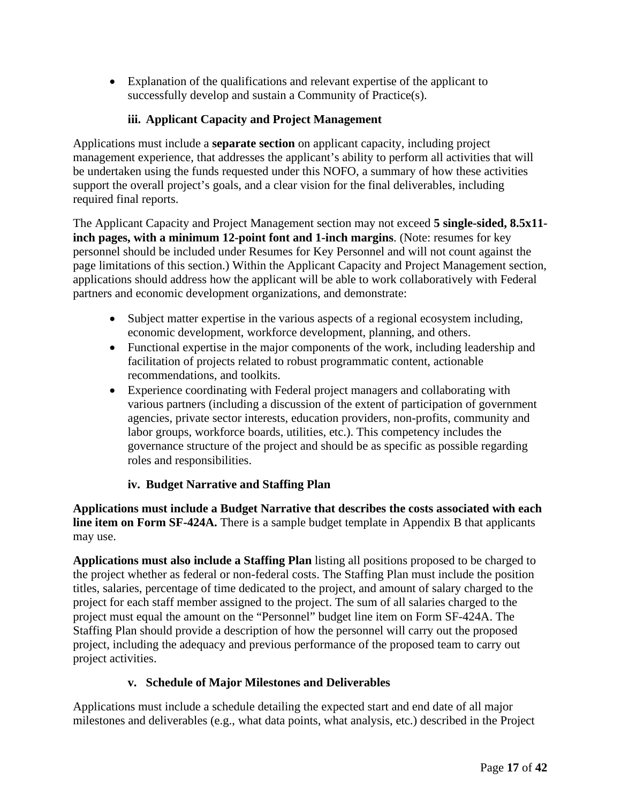• Explanation of the qualifications and relevant expertise of the applicant to successfully develop and sustain a Community of Practice(s).

# **iii. Applicant Capacity and Project Management**

<span id="page-16-0"></span>Applications must include a **separate section** on applicant capacity, including project management experience, that addresses the applicant's ability to perform all activities that will be undertaken using the funds requested under this NOFO, a summary of how these activities support the overall project's goals, and a clear vision for the final deliverables, including required final reports.

The Applicant Capacity and Project Management section may not exceed **5 single-sided, 8.5x11 inch pages, with a minimum 12-point font and 1-inch margins**. (Note: resumes for key personnel should be included under Resumes for Key Personnel and will not count against the page limitations of this section.) Within the Applicant Capacity and Project Management section, applications should address how the applicant will be able to work collaboratively with Federal partners and economic development organizations, and demonstrate:

- Subject matter expertise in the various aspects of a regional ecosystem including, economic development, workforce development, planning, and others.
- Functional expertise in the major components of the work, including leadership and facilitation of projects related to robust programmatic content, actionable recommendations, and toolkits.
- Experience coordinating with Federal project managers and collaborating with various partners (including a discussion of the extent of participation of government agencies, private sector interests, education providers, non-profits, community and labor groups, workforce boards, utilities, etc.). This competency includes the governance structure of the project and should be as specific as possible regarding roles and responsibilities.

# **iv. Budget Narrative and Staffing Plan**

<span id="page-16-1"></span>**Applications must include a Budget Narrative that describes the costs associated with each line item on Form SF-424A.** There is a sample budget template in Appendix B that applicants may use.

**Applications must also include a Staffing Plan** listing all positions proposed to be charged to the project whether as federal or non-federal costs. The Staffing Plan must include the position titles, salaries, percentage of time dedicated to the project, and amount of salary charged to the project for each staff member assigned to the project. The sum of all salaries charged to the project must equal the amount on the "Personnel" budget line item on Form SF-424A. The Staffing Plan should provide a description of how the personnel will carry out the proposed project, including the adequacy and previous performance of the proposed team to carry out project activities.

# **v. Schedule of Major Milestones and Deliverables**

<span id="page-16-2"></span>Applications must include a schedule detailing the expected start and end date of all major milestones and deliverables (e.g., what data points, what analysis, etc.) described in the Project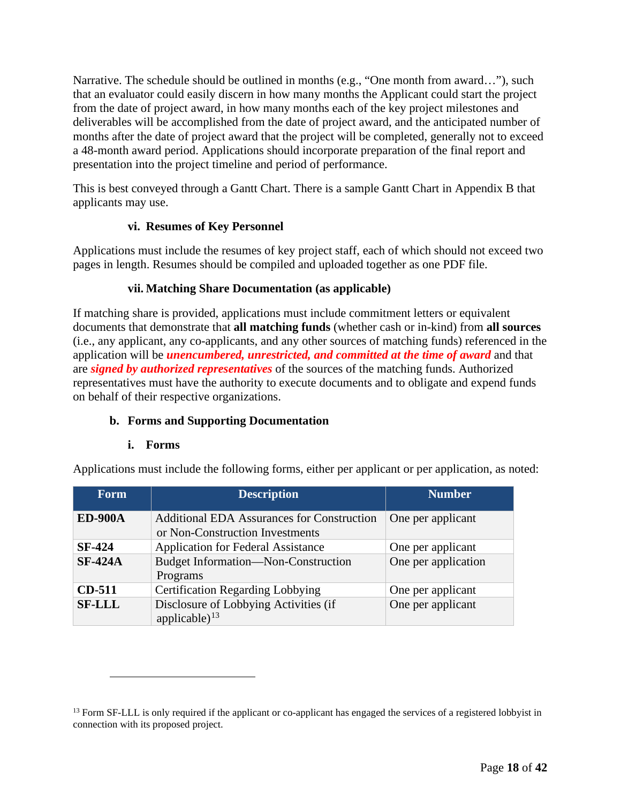Narrative. The schedule should be outlined in months (e.g., "One month from award…"), such that an evaluator could easily discern in how many months the Applicant could start the project from the date of project award, in how many months each of the key project milestones and deliverables will be accomplished from the date of project award, and the anticipated number of months after the date of project award that the project will be completed, generally not to exceed a 48-month award period. Applications should incorporate preparation of the final report and presentation into the project timeline and period of performance.

This is best conveyed through a Gantt Chart. There is a sample Gantt Chart in Appendix B that applicants may use.

# **vi. Resumes of Key Personnel**

<span id="page-17-2"></span>Applications must include the resumes of key project staff, each of which should not exceed two pages in length. Resumes should be compiled and uploaded together as one PDF file.

## **vii. Matching Share Documentation (as applicable)**

<span id="page-17-3"></span>If matching share is provided, applications must include commitment letters or equivalent documents that demonstrate that **all matching funds** (whether cash or in-kind) from **all sources** (i.e., any applicant, any co-applicants, and any other sources of matching funds) referenced in the application will be *unencumbered, unrestricted, and committed at the time of award* and that are *signed by authorized representatives* of the sources of the matching funds. Authorized representatives must have the authority to execute documents and to obligate and expend funds on behalf of their respective organizations.

# **b. Forms and Supporting Documentation**

### **i. Forms**

<span id="page-17-1"></span>Applications must include the following forms, either per applicant or per application, as noted:

| <b>Form</b>    | <b>Description</b>                                                                   | <b>Number</b>       |  |  |  |
|----------------|--------------------------------------------------------------------------------------|---------------------|--|--|--|
| <b>ED-900A</b> | <b>Additional EDA Assurances for Construction</b><br>or Non-Construction Investments | One per applicant   |  |  |  |
| <b>SF-424</b>  | <b>Application for Federal Assistance</b>                                            | One per applicant   |  |  |  |
| <b>SF-424A</b> | <b>Budget Information—Non-Construction</b><br>Programs                               | One per application |  |  |  |
| <b>CD-511</b>  | <b>Certification Regarding Lobbying</b>                                              | One per applicant   |  |  |  |
| <b>SF-LLL</b>  | Disclosure of Lobbying Activities (if<br>applicable) $^{13}$                         | One per applicant   |  |  |  |

<span id="page-17-0"></span><sup>&</sup>lt;sup>13</sup> Form SF-LLL is only required if the applicant or co-applicant has engaged the services of a registered lobbyist in connection with its proposed project.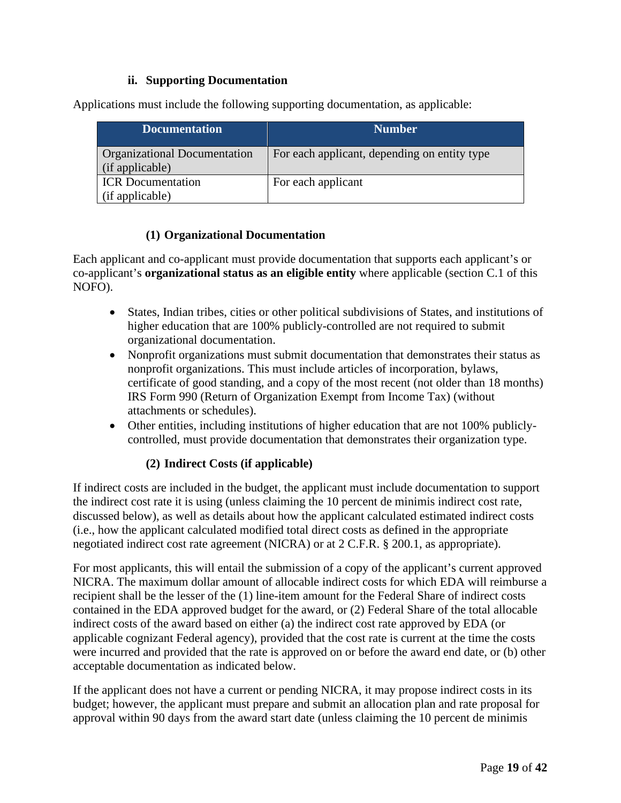## **ii. Supporting Documentation**

Applications must include the following supporting documentation, as applicable:

| <b>Documentation</b>                            | <b>Number</b>                                |
|-------------------------------------------------|----------------------------------------------|
| Organizational Documentation<br>(if applicable) | For each applicant, depending on entity type |
| <b>ICR</b> Documentation                        | For each applicant                           |
| (if applicable)                                 |                                              |

## **(1) Organizational Documentation**

<span id="page-18-0"></span>Each applicant and co-applicant must provide documentation that supports each applicant's or co-applicant's **organizational status as an eligible entity** where applicable (section [C.1](#page-10-2) of this NOFO).

- States, Indian tribes, cities or other political subdivisions of States, and institutions of higher education that are 100% publicly-controlled are not required to submit organizational documentation.
- Nonprofit organizations must submit documentation that demonstrates their status as nonprofit organizations. This must include articles of incorporation, bylaws, certificate of good standing, and a copy of the most recent (not older than 18 months) IRS Form 990 (Return of Organization Exempt from Income Tax) (without attachments or schedules).
- Other entities, including institutions of higher education that are not 100% publiclycontrolled, must provide documentation that demonstrates their organization type.

# **(2) Indirect Costs (if applicable)**

<span id="page-18-1"></span>If indirect costs are included in the budget, the applicant must include documentation to support the indirect cost rate it is using (unless claiming the 10 percent de minimis indirect cost rate, discussed below), as well as details about how the applicant calculated estimated indirect costs (i.e., how the applicant calculated modified total direct costs as defined in the appropriate negotiated indirect cost rate agreement (NICRA) or at 2 C.F.R. § 200.1, as appropriate).

For most applicants, this will entail the submission of a copy of the applicant's current approved NICRA. The maximum dollar amount of allocable indirect costs for which EDA will reimburse a recipient shall be the lesser of the (1) line-item amount for the Federal Share of indirect costs contained in the EDA approved budget for the award, or (2) Federal Share of the total allocable indirect costs of the award based on either (a) the indirect cost rate approved by EDA (or applicable cognizant Federal agency), provided that the cost rate is current at the time the costs were incurred and provided that the rate is approved on or before the award end date, or (b) other acceptable documentation as indicated below.

If the applicant does not have a current or pending NICRA, it may propose indirect costs in its budget; however, the applicant must prepare and submit an allocation plan and rate proposal for approval within 90 days from the award start date (unless claiming the 10 percent de minimis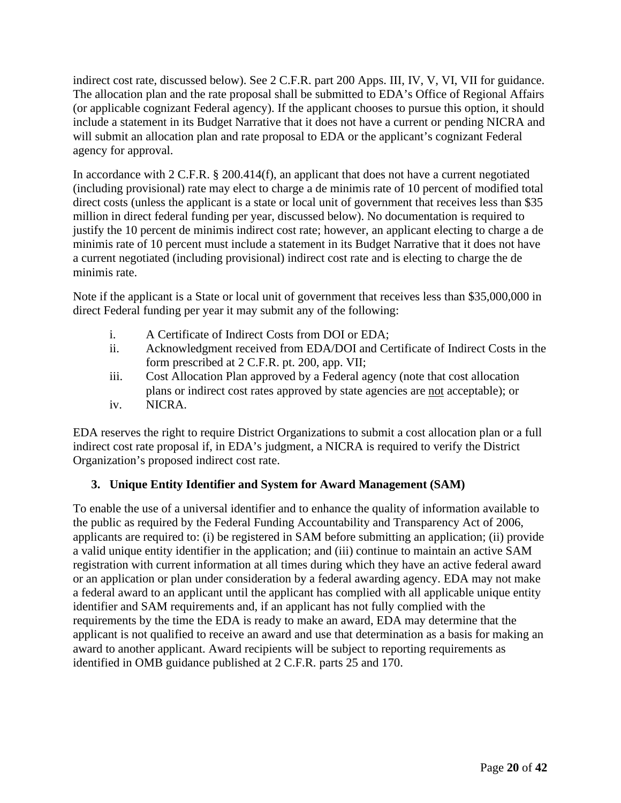indirect cost rate, discussed below). See 2 C.F.R. part 200 Apps. III, IV, V, VI, VII for guidance. The allocation plan and the rate proposal shall be submitted to EDA's Office of Regional Affairs (or applicable cognizant Federal agency). If the applicant chooses to pursue this option, it should include a statement in its Budget Narrative that it does not have a current or pending NICRA and will submit an allocation plan and rate proposal to EDA or the applicant's cognizant Federal agency for approval.

In accordance with 2 C.F.R. § 200.414(f), an applicant that does not have a current negotiated (including provisional) rate may elect to charge a de minimis rate of 10 percent of modified total direct costs (unless the applicant is a state or local unit of government that receives less than \$35 million in direct federal funding per year, discussed below). No documentation is required to justify the 10 percent de minimis indirect cost rate; however, an applicant electing to charge a de minimis rate of 10 percent must include a statement in its Budget Narrative that it does not have a current negotiated (including provisional) indirect cost rate and is electing to charge the de minimis rate.

Note if the applicant is a State or local unit of government that receives less than \$35,000,000 in direct Federal funding per year it may submit any of the following:

- i. A Certificate of Indirect Costs from DOI or EDA;
- ii. Acknowledgment received from EDA/DOI and Certificate of Indirect Costs in the form prescribed at 2 C.F.R. pt. 200, app. VII;
- iii. Cost Allocation Plan approved by a Federal agency (note that cost allocation plans or indirect cost rates approved by state agencies are not acceptable); or iv. NICRA.

EDA reserves the right to require District Organizations to submit a cost allocation plan or a full indirect cost rate proposal if, in EDA's judgment, a NICRA is required to verify the District Organization's proposed indirect cost rate.

# <span id="page-19-0"></span>**3. Unique Entity Identifier and System for Award Management (SAM)**

To enable the use of a universal identifier and to enhance the quality of information available to the public as required by the Federal Funding Accountability and Transparency Act of 2006, applicants are required to: (i) be registered in SAM before submitting an application; (ii) provide a valid unique entity identifier in the application; and (iii) continue to maintain an active SAM registration with current information at all times during which they have an active federal award or an application or plan under consideration by a federal awarding agency. EDA may not make a federal award to an applicant until the applicant has complied with all applicable unique entity identifier and SAM requirements and, if an applicant has not fully complied with the requirements by the time the EDA is ready to make an award, EDA may determine that the applicant is not qualified to receive an award and use that determination as a basis for making an award to another applicant. Award recipients will be subject to reporting requirements as identified in OMB guidance published at 2 C.F.R. parts 25 and 170.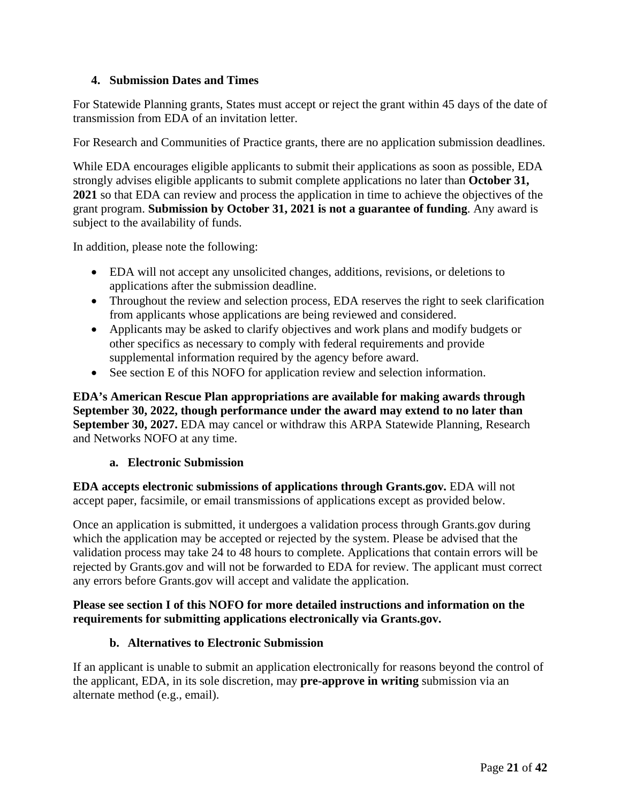## <span id="page-20-0"></span>**4. Submission Dates and Times**

For Statewide Planning grants, States must accept or reject the grant within 45 days of the date of transmission from EDA of an invitation letter.

For Research and Communities of Practice grants, there are no application submission deadlines.

While EDA encourages eligible applicants to submit their applications as soon as possible, EDA strongly advises eligible applicants to submit complete applications no later than **October 31, 2021** so that EDA can review and process the application in time to achieve the objectives of the grant program. **Submission by October 31, 2021 is not a guarantee of funding**. Any award is subject to the availability of funds.

In addition, please note the following:

- EDA will not accept any unsolicited changes, additions, revisions, or deletions to applications after the submission deadline.
- Throughout the review and selection process, EDA reserves the right to seek clarification from applicants whose applications are being reviewed and considered.
- Applicants may be asked to clarify objectives and work plans and modify budgets or other specifics as necessary to comply with federal requirements and provide supplemental information required by the agency before award.
- See section [E](#page-21-0) of this NOFO for application review and selection information.

**EDA's American Rescue Plan appropriations are available for making awards through September 30, 2022, though performance under the award may extend to no later than September 30, 2027.** EDA may cancel or withdraw this ARPA Statewide Planning, Research and Networks NOFO at any time.

### **a. Electronic Submission**

**EDA accepts electronic submissions of applications through Grants.gov.** EDA will not accept paper, facsimile, or email transmissions of applications except as provided below.

Once an application is submitted, it undergoes a validation process through Grants.gov during which the application may be accepted or rejected by the system. Please be advised that the validation process may take 24 to 48 hours to complete. Applications that contain errors will be rejected by Grants.gov and will not be forwarded to EDA for review. The applicant must correct any errors before Grants.gov will accept and validate the application.

## **Please see section [I](#page-36-0) of this NOFO for more detailed instructions and information on the requirements for submitting applications electronically via Grants.gov.**

### **b. Alternatives to Electronic Submission**

<span id="page-20-1"></span>If an applicant is unable to submit an application electronically for reasons beyond the control of the applicant, EDA, in its sole discretion, may **pre-approve in writing** submission via an alternate method (e.g., email).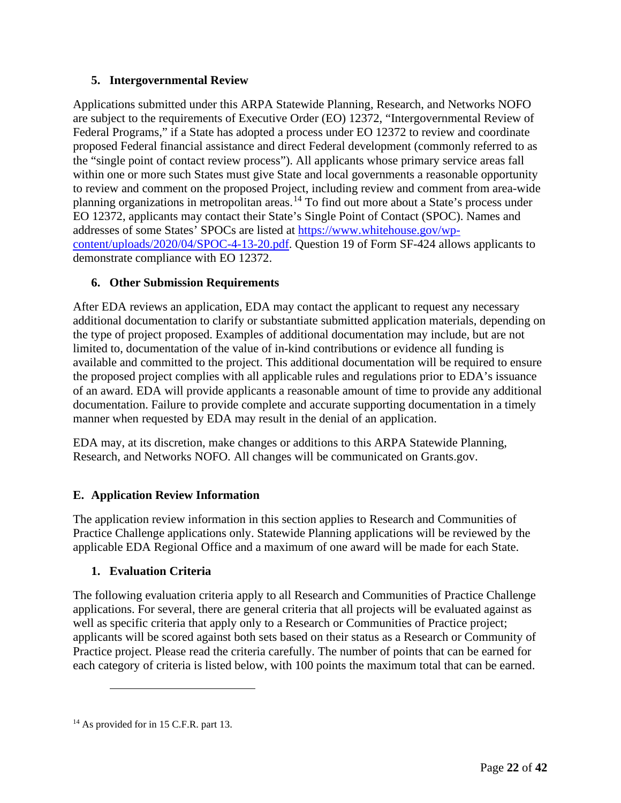# <span id="page-21-1"></span>**5. Intergovernmental Review**

Applications submitted under this ARPA Statewide Planning, Research, and Networks NOFO are subject to the requirements of Executive Order (EO) 12372, "Intergovernmental Review of Federal Programs," if a State has adopted a process under EO 12372 to review and coordinate proposed Federal financial assistance and direct Federal development (commonly referred to as the "single point of contact review process"). All applicants whose primary service areas fall within one or more such States must give State and local governments a reasonable opportunity to review and comment on the proposed Project, including review and comment from area-wide planning organizations in metropolitan areas.<sup>[14](#page-21-4)</sup> To find out more about a State's process under EO 12372, applicants may contact their State's Single Point of Contact (SPOC). Names and addresses of some States' SPOCs are listed at [https://www.whitehouse.gov/wp](https://www.whitehouse.gov/wp-content/uploads/2020/04/SPOC-4-13-20.pdf)[content/uploads/2020/04/SPOC-4-13-20.pdf.](https://www.whitehouse.gov/wp-content/uploads/2020/04/SPOC-4-13-20.pdf) Question 19 of Form SF-424 allows applicants to demonstrate compliance with EO 12372.

# <span id="page-21-2"></span>**6. Other Submission Requirements**

After EDA reviews an application, EDA may contact the applicant to request any necessary additional documentation to clarify or substantiate submitted application materials, depending on the type of project proposed. Examples of additional documentation may include, but are not limited to, documentation of the value of in-kind contributions or evidence all funding is available and committed to the project. This additional documentation will be required to ensure the proposed project complies with all applicable rules and regulations prior to EDA's issuance of an award. EDA will provide applicants a reasonable amount of time to provide any additional documentation. Failure to provide complete and accurate supporting documentation in a timely manner when requested by EDA may result in the denial of an application.

EDA may, at its discretion, make changes or additions to this ARPA Statewide Planning, Research, and Networks NOFO. All changes will be communicated on Grants.gov.

# <span id="page-21-0"></span>**E. Application Review Information**

The application review information in this section applies to Research and Communities of Practice Challenge applications only. Statewide Planning applications will be reviewed by the applicable EDA Regional Office and a maximum of one award will be made for each State.

# <span id="page-21-3"></span>**1. Evaluation Criteria**

The following evaluation criteria apply to all Research and Communities of Practice Challenge applications. For several, there are general criteria that all projects will be evaluated against as well as specific criteria that apply only to a Research or Communities of Practice project; applicants will be scored against both sets based on their status as a Research or Community of Practice project. Please read the criteria carefully. The number of points that can be earned for each category of criteria is listed below, with 100 points the maximum total that can be earned.

<span id="page-21-4"></span><sup>&</sup>lt;sup>14</sup> As provided for in 15 C.F.R. part 13.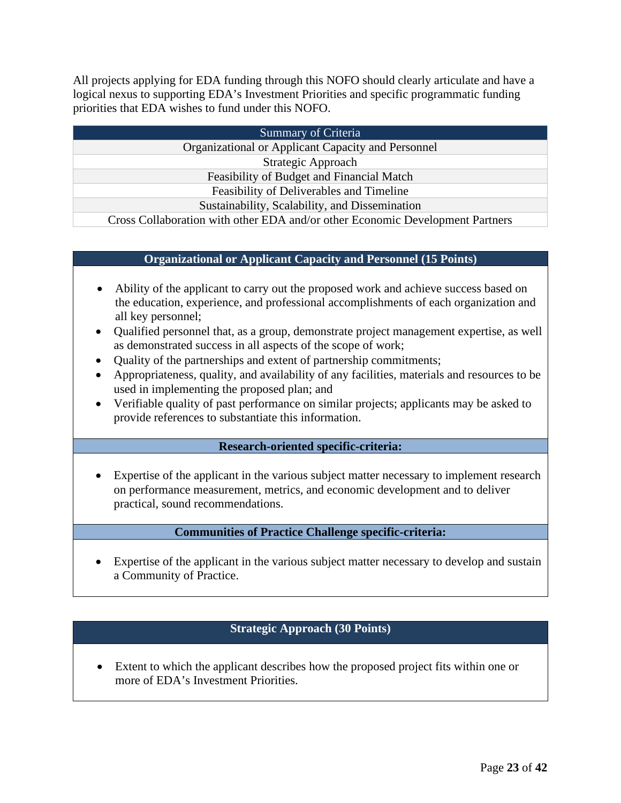All projects applying for EDA funding through this NOFO should clearly articulate and have a logical nexus to supporting EDA's Investment Priorities and specific programmatic funding priorities that EDA wishes to fund under this NOFO.

| Summary of Criteria                                                           |  |  |  |  |  |  |
|-------------------------------------------------------------------------------|--|--|--|--|--|--|
| Organizational or Applicant Capacity and Personnel                            |  |  |  |  |  |  |
| Strategic Approach                                                            |  |  |  |  |  |  |
| Feasibility of Budget and Financial Match                                     |  |  |  |  |  |  |
| Feasibility of Deliverables and Timeline                                      |  |  |  |  |  |  |
| Sustainability, Scalability, and Dissemination                                |  |  |  |  |  |  |
| Cross Collaboration with other EDA and/or other Economic Development Partners |  |  |  |  |  |  |

### **Organizational or Applicant Capacity and Personnel (15 Points)**

- Ability of the applicant to carry out the proposed work and achieve success based on the education, experience, and professional accomplishments of each organization and all key personnel;
- Qualified personnel that, as a group, demonstrate project management expertise, as well as demonstrated success in all aspects of the scope of work;
- Quality of the partnerships and extent of partnership commitments;
- Appropriateness, quality, and availability of any facilities, materials and resources to be used in implementing the proposed plan; and
- Verifiable quality of past performance on similar projects; applicants may be asked to provide references to substantiate this information.

### **Research-oriented specific-criteria:**

• Expertise of the applicant in the various subject matter necessary to implement research on performance measurement, metrics, and economic development and to deliver practical, sound recommendations.

#### **Communities of Practice Challenge specific-criteria:**

• Expertise of the applicant in the various subject matter necessary to develop and sustain a Community of Practice.

# **Strategic Approach (30 Points)**

• Extent to which the applicant describes how the proposed project fits within one or more of EDA's Investment Priorities.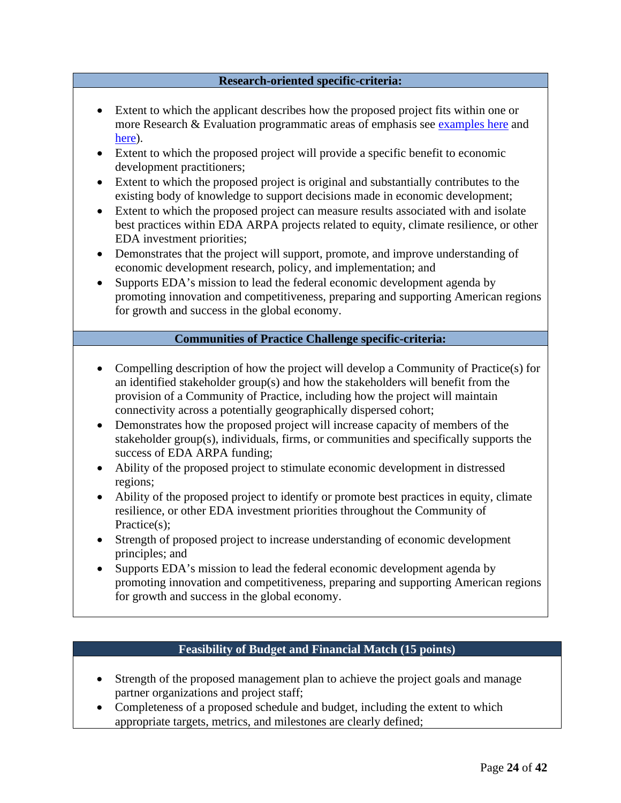#### **Research-oriented specific-criteria:**

- Extent to which the applicant describes how the proposed project fits within one or more Research & Evaluation programmatic areas of emphasis see [examples here](https://eda.gov/programs/rnta/rnta-programs/research-and-evaluation/index.htm) and [here\)](https://eda.gov/programs/rnta/rnta-programs/national-technical-assistance/index.htm).
- Extent to which the proposed project will provide a specific benefit to economic development practitioners;
- Extent to which the proposed project is original and substantially contributes to the existing body of knowledge to support decisions made in economic development;
- Extent to which the proposed project can measure results associated with and isolate best practices within EDA ARPA projects related to equity, climate resilience, or other EDA investment priorities;
- Demonstrates that the project will support, promote, and improve understanding of economic development research, policy, and implementation; and
- Supports EDA's mission to lead the federal economic development agenda by promoting innovation and competitiveness, preparing and supporting American regions for growth and success in the global economy.

# **Communities of Practice Challenge specific-criteria:**

- Compelling description of how the project will develop a Community of Practice(s) for an identified stakeholder group(s) and how the stakeholders will benefit from the provision of a Community of Practice, including how the project will maintain connectivity across a potentially geographically dispersed cohort;
- Demonstrates how the proposed project will increase capacity of members of the stakeholder group(s), individuals, firms, or communities and specifically supports the success of EDA ARPA funding;
- Ability of the proposed project to stimulate economic development in distressed regions;
- Ability of the proposed project to identify or promote best practices in equity, climate resilience, or other EDA investment priorities throughout the Community of Practice(s);
- Strength of proposed project to increase understanding of economic development principles; and
- Supports EDA's mission to lead the federal economic development agenda by promoting innovation and competitiveness, preparing and supporting American regions for growth and success in the global economy.

## **Feasibility of Budget and Financial Match (15 points)**

- Strength of the proposed management plan to achieve the project goals and manage partner organizations and project staff;
- Completeness of a proposed schedule and budget, including the extent to which appropriate targets, metrics, and milestones are clearly defined;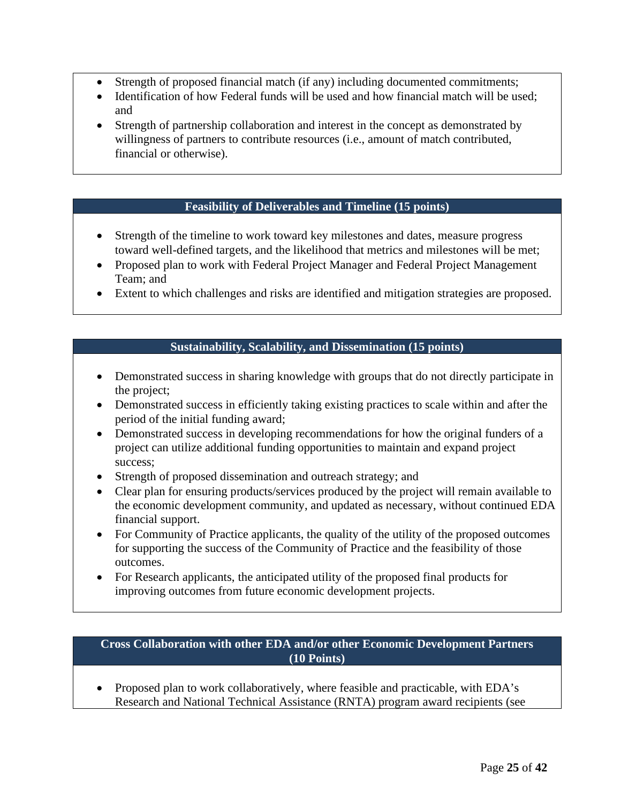- Strength of proposed financial match (if any) including documented commitments;
- Identification of how Federal funds will be used and how financial match will be used: and
- Strength of partnership collaboration and interest in the concept as demonstrated by willingness of partners to contribute resources (i.e., amount of match contributed, financial or otherwise).

### **Feasibility of Deliverables and Timeline (15 points)**

- Strength of the timeline to work toward key milestones and dates, measure progress toward well-defined targets, and the likelihood that metrics and milestones will be met;
- Proposed plan to work with Federal Project Manager and Federal Project Management Team; and
- Extent to which challenges and risks are identified and mitigation strategies are proposed.

## **Sustainability, Scalability, and Dissemination (15 points)**

- Demonstrated success in sharing knowledge with groups that do not directly participate in the project;
- Demonstrated success in efficiently taking existing practices to scale within and after the period of the initial funding award;
- Demonstrated success in developing recommendations for how the original funders of a project can utilize additional funding opportunities to maintain and expand project success;
- Strength of proposed dissemination and outreach strategy; and
- Clear plan for ensuring products/services produced by the project will remain available to the economic development community, and updated as necessary, without continued EDA financial support.
- For Community of Practice applicants, the quality of the utility of the proposed outcomes for supporting the success of the Community of Practice and the feasibility of those outcomes.
- For Research applicants, the anticipated utility of the proposed final products for improving outcomes from future economic development projects.

### **Cross Collaboration with other EDA and/or other Economic Development Partners (10 Points)**

• Proposed plan to work collaboratively, where feasible and practicable, with EDA's Research and National Technical Assistance (RNTA) program award recipients (see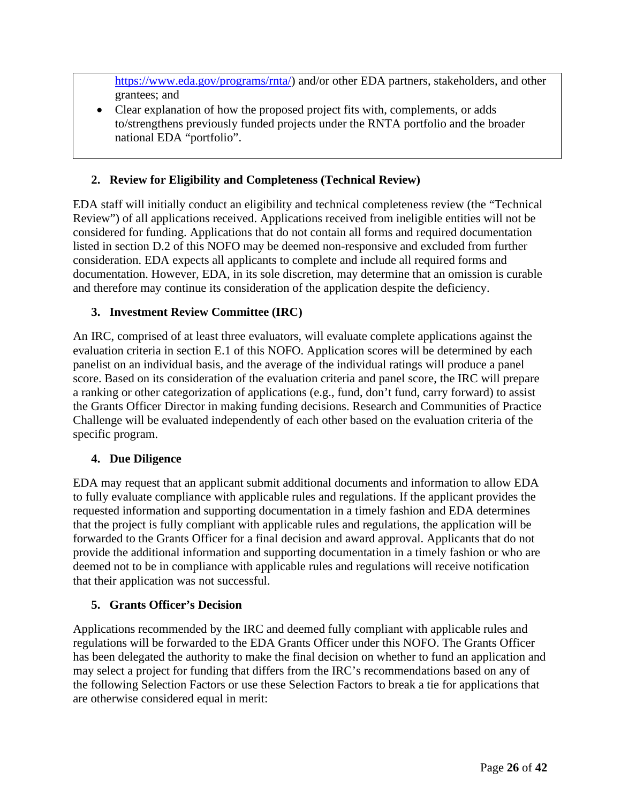[https://www.eda.gov/programs/rnta/\)](https://www.eda.gov/programs/rnta/) and/or other EDA partners, stakeholders, and other grantees; and

• Clear explanation of how the proposed project fits with, complements, or adds to/strengthens previously funded projects under the RNTA portfolio and the broader national EDA "portfolio".

# <span id="page-25-0"></span>**2. Review for Eligibility and Completeness (Technical Review)**

EDA staff will initially conduct an eligibility and technical completeness review (the "Technical Review") of all applications received. Applications received from ineligible entities will not be considered for funding. Applications that do not contain all forms and required documentation listed in section [D.2](#page-12-2) of this NOFO may be deemed non-responsive and excluded from further consideration. EDA expects all applicants to complete and include all required forms and documentation. However, EDA, in its sole discretion, may determine that an omission is curable and therefore may continue its consideration of the application despite the deficiency.

## <span id="page-25-1"></span>**3. Investment Review Committee (IRC)**

An IRC, comprised of at least three evaluators, will evaluate complete applications against the evaluation criteria in section [E.1](#page-21-3) of this NOFO. Application scores will be determined by each panelist on an individual basis, and the average of the individual ratings will produce a panel score. Based on its consideration of the evaluation criteria and panel score, the IRC will prepare a ranking or other categorization of applications (e.g., fund, don't fund, carry forward) to assist the Grants Officer Director in making funding decisions. Research and Communities of Practice Challenge will be evaluated independently of each other based on the evaluation criteria of the specific program.

### <span id="page-25-2"></span>**4. Due Diligence**

EDA may request that an applicant submit additional documents and information to allow EDA to fully evaluate compliance with applicable rules and regulations. If the applicant provides the requested information and supporting documentation in a timely fashion and EDA determines that the project is fully compliant with applicable rules and regulations, the application will be forwarded to the Grants Officer for a final decision and award approval. Applicants that do not provide the additional information and supporting documentation in a timely fashion or who are deemed not to be in compliance with applicable rules and regulations will receive notification that their application was not successful.

### <span id="page-25-3"></span>**5. Grants Officer's Decision**

Applications recommended by the IRC and deemed fully compliant with applicable rules and regulations will be forwarded to the EDA Grants Officer under this NOFO. The Grants Officer has been delegated the authority to make the final decision on whether to fund an application and may select a project for funding that differs from the IRC's recommendations based on any of the following Selection Factors or use these Selection Factors to break a tie for applications that are otherwise considered equal in merit: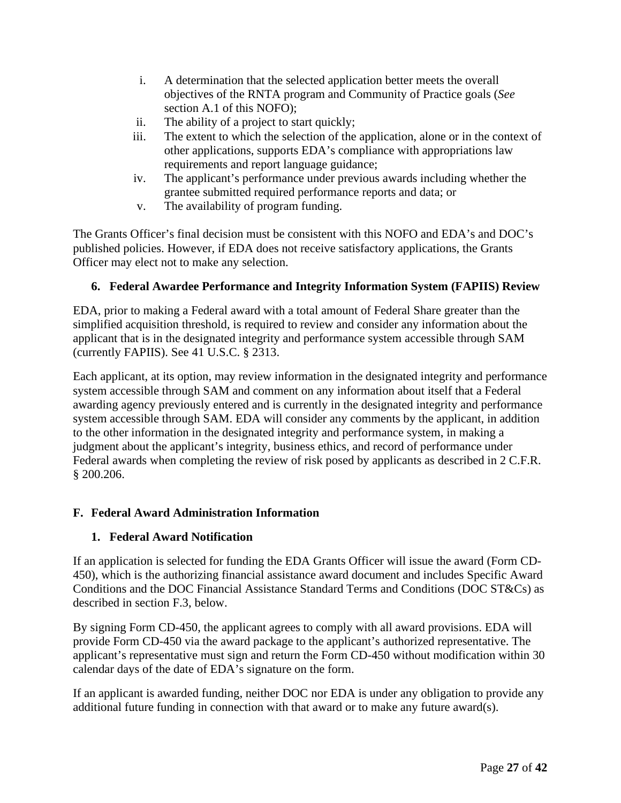- i. A determination that the selected application better meets the overall objectives of the RNTA program and Community of Practice goals (*See* section [A.1](#page-4-1) of this NOFO);
- ii. The ability of a project to start quickly;
- iii. The extent to which the selection of the application, alone or in the context of other applications, supports EDA's compliance with appropriations law requirements and report language guidance;
- iv. The applicant's performance under previous awards including whether the grantee submitted required performance reports and data; or
- v. The availability of program funding.

The Grants Officer's final decision must be consistent with this NOFO and EDA's and DOC's published policies. However, if EDA does not receive satisfactory applications, the Grants Officer may elect not to make any selection.

# <span id="page-26-0"></span>**6. Federal Awardee Performance and Integrity Information System (FAPIIS) Review**

EDA, prior to making a Federal award with a total amount of Federal Share greater than the simplified acquisition threshold, is required to review and consider any information about the applicant that is in the designated integrity and performance system accessible through SAM (currently FAPIIS). See 41 U.S.C. § 2313.

Each applicant, at its option, may review information in the designated integrity and performance system accessible through SAM and comment on any information about itself that a Federal awarding agency previously entered and is currently in the designated integrity and performance system accessible through SAM. EDA will consider any comments by the applicant, in addition to the other information in the designated integrity and performance system, in making a judgment about the applicant's integrity, business ethics, and record of performance under Federal awards when completing the review of risk posed by applicants as described in 2 C.F.R. § 200.206.

# <span id="page-26-1"></span>**F. Federal Award Administration Information**

# <span id="page-26-2"></span>**1. Federal Award Notification**

If an application is selected for funding the EDA Grants Officer will issue the award (Form CD-450), which is the authorizing financial assistance award document and includes Specific Award Conditions and the DOC Financial Assistance Standard Terms and Conditions (DOC ST&Cs) as described in section [F.3,](#page-27-1) below.

By signing Form CD-450, the applicant agrees to comply with all award provisions. EDA will provide Form CD-450 via the award package to the applicant's authorized representative. The applicant's representative must sign and return the Form CD-450 without modification within 30 calendar days of the date of EDA's signature on the form.

If an applicant is awarded funding, neither DOC nor EDA is under any obligation to provide any additional future funding in connection with that award or to make any future award(s).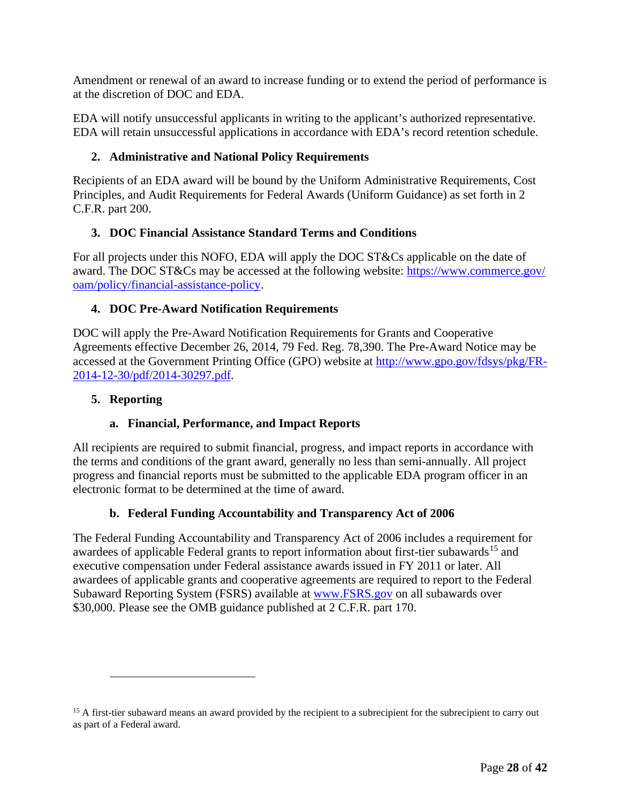Amendment or renewal of an award to increase funding or to extend the period of performance is at the discretion of DOC and EDA.

EDA will notify unsuccessful applicants in writing to the applicant's authorized representative. EDA will retain unsuccessful applications in accordance with EDA's record retention schedule.

# <span id="page-27-0"></span>**2. Administrative and National Policy Requirements**

Recipients of an EDA award will be bound by the Uniform Administrative Requirements, Cost Principles, and Audit Requirements for Federal Awards (Uniform Guidance) as set forth in 2 C.F.R. part 200.

# <span id="page-27-1"></span>**3. DOC Financial Assistance Standard Terms and Conditions**

For all projects under this NOFO, EDA will apply the DOC ST&Cs applicable on the date of award. The DOC ST&Cs may be accessed at the following website: [https://www.commerce.gov/](https://www.commerce.gov/oam/policy/financial-assistance-policy) [oam/policy/financial-assistance-policy.](https://www.commerce.gov/oam/policy/financial-assistance-policy)

# <span id="page-27-2"></span>**4. DOC Pre-Award Notification Requirements**

DOC will apply the Pre-Award Notification Requirements for Grants and Cooperative Agreements effective December 26, 2014, 79 Fed. Reg. 78,390. The Pre-Award Notice may be accessed at the Government Printing Office (GPO) website at [http://www.gpo.gov/fdsys/pkg/FR-](http://www.gpo.gov/fdsys/pkg/FR-2014-12-30/pdf/2014-30297.pdf)[2014-12-30/pdf/2014-30297.pdf.](http://www.gpo.gov/fdsys/pkg/FR-2014-12-30/pdf/2014-30297.pdf)

## <span id="page-27-3"></span>**5. Reporting**

# **a. Financial, Performance, and Impact Reports**

All recipients are required to submit financial, progress, and impact reports in accordance with the terms and conditions of the grant award, generally no less than semi-annually. All project progress and financial reports must be submitted to the applicable EDA program officer in an electronic format to be determined at the time of award.

# **b. Federal Funding Accountability and Transparency Act of 2006**

The Federal Funding Accountability and Transparency Act of 2006 includes a requirement for awardees of applicable Federal grants to report information about first-tier subawards<sup>[15](#page-27-4)</sup> and executive compensation under Federal assistance awards issued in FY 2011 or later. All awardees of applicable grants and cooperative agreements are required to report to the Federal Subaward Reporting System (FSRS) available at [www.FSRS.gov](http://www.fsrs.gov/) on all subawards over \$30,000. Please see the OMB guidance published at 2 C.F.R. part 170.

<span id="page-27-4"></span><sup>&</sup>lt;sup>15</sup> A first-tier subaward means an award provided by the recipient to a subrecipient for the subrecipient to carry out as part of a Federal award.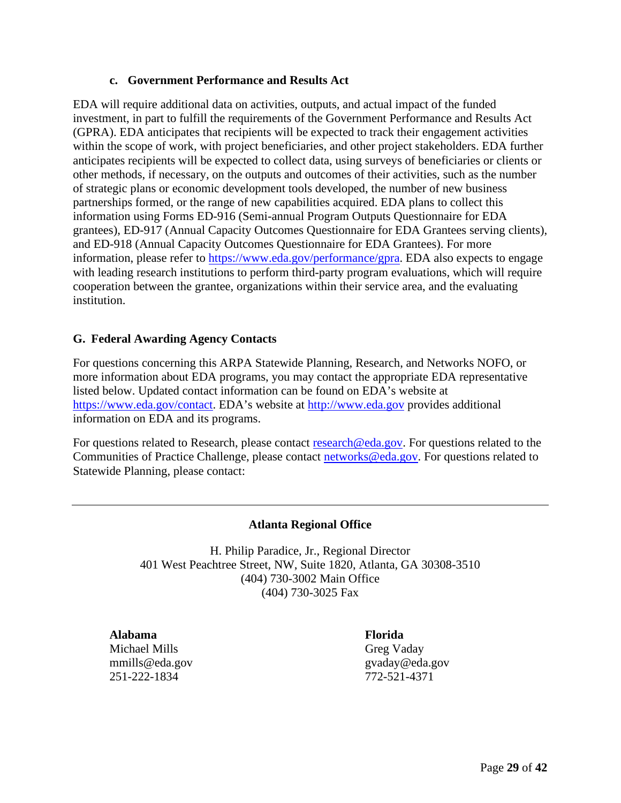### **c. Government Performance and Results Act**

EDA will require additional data on activities, outputs, and actual impact of the funded investment, in part to fulfill the requirements of the Government Performance and Results Act (GPRA). EDA anticipates that recipients will be expected to track their engagement activities within the scope of work, with project beneficiaries, and other project stakeholders. EDA further anticipates recipients will be expected to collect data, using surveys of beneficiaries or clients or other methods, if necessary, on the outputs and outcomes of their activities, such as the number of strategic plans or economic development tools developed, the number of new business partnerships formed, or the range of new capabilities acquired. EDA plans to collect this information using Forms ED-916 (Semi-annual Program Outputs Questionnaire for EDA grantees), ED-917 (Annual Capacity Outcomes Questionnaire for EDA Grantees serving clients), and ED-918 (Annual Capacity Outcomes Questionnaire for EDA Grantees). For more information, please refer to [https://www.eda.gov/performance/g](https://www.eda.gov/performance/)pra. EDA also expects to engage with leading research institutions to perform third-party program evaluations, which will require cooperation between the grantee, organizations within their service area, and the evaluating institution.

### <span id="page-28-0"></span>**G. Federal Awarding Agency Contacts**

For questions concerning this ARPA Statewide Planning, Research, and Networks NOFO, or more information about EDA programs, you may contact the appropriate EDA representative listed below. Updated contact information can be found on EDA's website at [https://www.eda.gov/contact.](https://www.eda.gov/contact) EDA's website at [http://www.eda.gov](http://www.eda.gov/) provides additional information on EDA and its programs.

For questions related to Research, please contact [research@eda.gov.](mailto:research@eda.gov) For questions related to the Communities of Practice Challenge, please contact [networks@eda.gov.](mailto:networks@eda.gov) For questions related to Statewide Planning, please contact:

### **Atlanta Regional Office**

<span id="page-28-1"></span>H. Philip Paradice, Jr., Regional Director 401 West Peachtree Street, NW, Suite 1820, Atlanta, GA 30308-3510 (404) 730-3002 Main Office (404) 730-3025 Fax

**Alabama** Michael Mills mmills@eda.gov 251-222-1834

**Florida** Greg Vaday gvaday@eda.gov 772-521-4371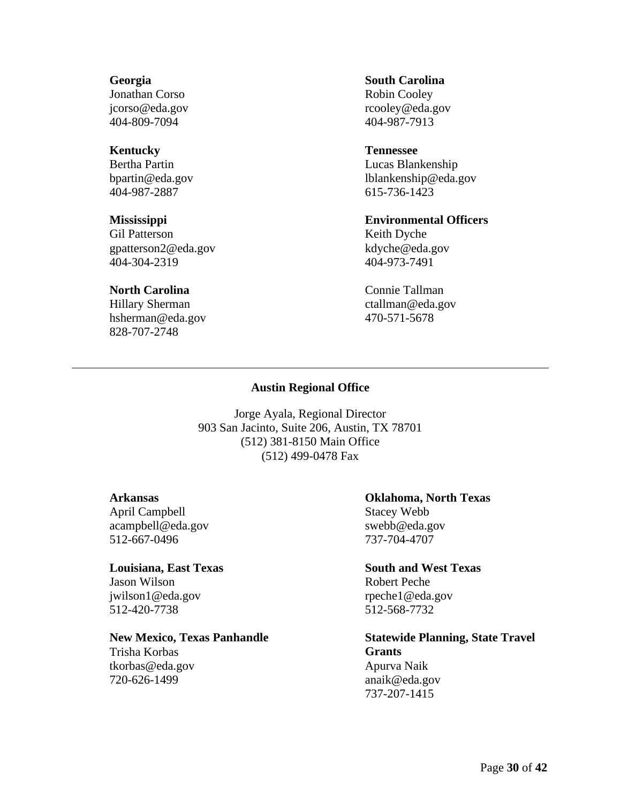#### **Georgia**

Jonathan Corso jcorso@eda.gov 404-809-7094

### **Kentucky**

Bertha Partin bpartin@eda.gov 404-987-2887

#### **Mississippi**

Gil Patterson gpatterson2@eda.gov 404-304-2319

### **North Carolina**

<span id="page-29-0"></span>Hillary Sherman hsherman@eda.gov 828-707-2748

#### **South Carolina**

Robin Cooley rcooley@eda.gov 404-987-7913

#### **Tennessee**

Lucas Blankenship lblankenship@eda.gov 615-736-1423

#### **Environmental Officers**

Keith Dyche kdyche@eda.gov 404-973-7491

Connie Tallman ctallman@eda.gov 470-571-5678

#### **Austin Regional Office**

Jorge Ayala, Regional Director 903 San Jacinto, Suite 206, Austin, TX 78701 (512) 381-8150 Main Office (512) 499-0478 Fax

#### **Arkansas**

April Campbell acampbell@eda.gov 512-667-0496

#### **Louisiana, East Texas**

Jason Wilson jwilson1@eda.gov 512-420-7738

#### **New Mexico, Texas Panhandle**

Trisha Korbas tkorbas@eda.gov 720-626-1499

#### **Oklahoma, North Texas**

Stacey Webb swebb@eda.gov 737-704-4707

#### **South and West Texas**

Robert Peche rpeche1@eda.gov 512-568-7732

### **Statewide Planning, State Travel Grants** Apurva Naik

anaik@eda.gov 737-207-1415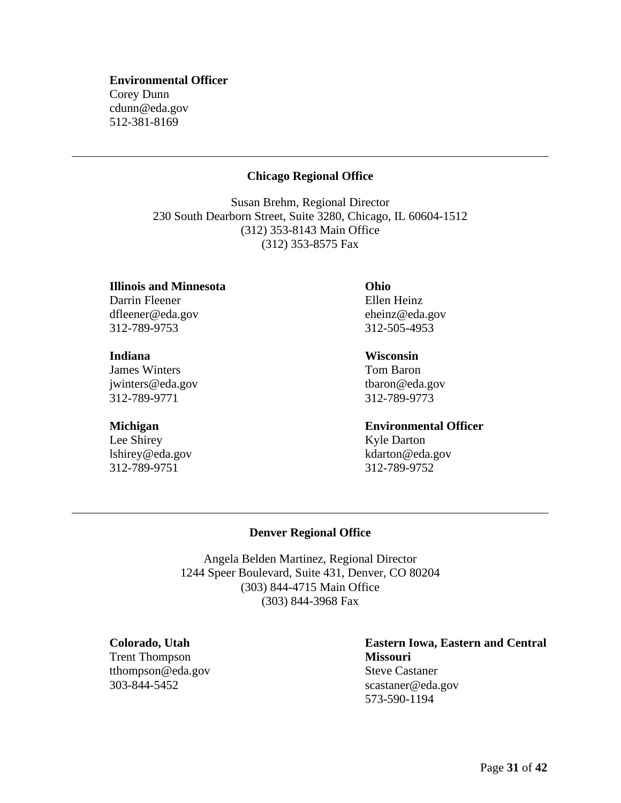#### **Environmental Officer**

<span id="page-30-0"></span>Corey Dunn cdunn@eda.gov 512-381-8169

#### **Chicago Regional Office**

Susan Brehm, Regional Director 230 South Dearborn Street, Suite 3280, Chicago, IL 60604-1512 (312) 353-8143 Main Office (312) 353-8575 Fax

**Illinois and Minnesota** Darrin Fleener dfleener@eda.gov

312-789-9753

#### **Indiana**

James Winters jwinters@eda.gov 312-789-9771

#### **Michigan**

<span id="page-30-1"></span>Lee Shirey lshirey@eda.gov 312-789-9751

**Ohio** Ellen Heinz eheinz@eda.gov 312-505-4953

#### **Wisconsin**

Tom Baron tbaron@eda.gov 312-789-9773

312-789-9752

**Environmental Officer** Kyle Darton kdarton@eda.gov

#### **Denver Regional Office**

Angela Belden Martinez, Regional Director 1244 Speer Boulevard, Suite 431, Denver, CO 80204 (303) 844-4715 Main Office (303) 844-3968 Fax

**Colorado, Utah**

Trent Thompson tthompson@eda.gov 303-844-5452

### **Eastern Iowa, Eastern and Central Missouri** Steve Castaner scastaner@eda.gov 573-590-1194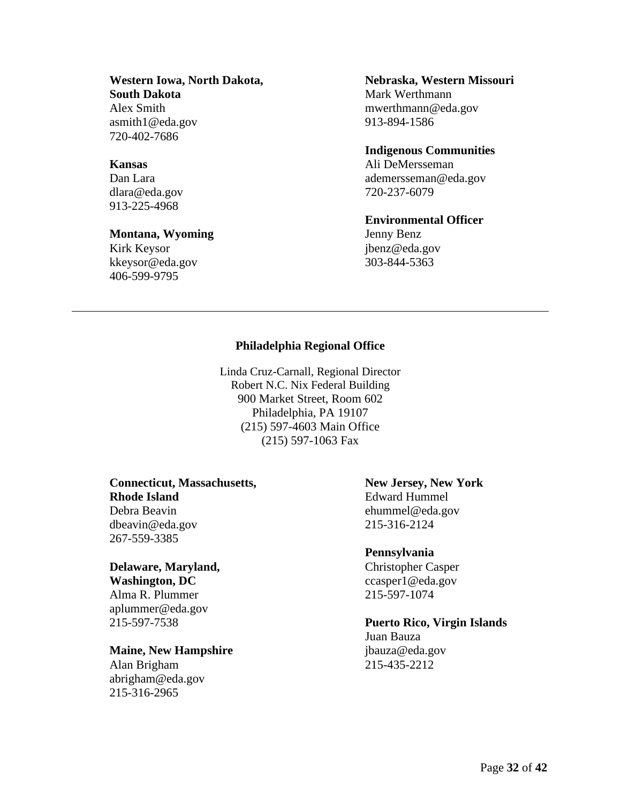# **Western Iowa, North Dakota,**

**South Dakota** Alex Smith asmith1@eda.gov 720-402-7686

#### **Kansas**

Dan Lara dlara@eda.gov 913-225-4968

#### **Montana, Wyoming**

<span id="page-31-0"></span>Kirk Keysor kkeysor@eda.gov 406-599-9795

#### **Nebraska, Western Missouri** Mark Werthmann mwerthmann@eda.gov 913-894-1586

#### **Indigenous Communities**

Ali DeMersseman ademersseman@eda.gov 720-237-6079

#### **Environmental Officer**

Jenny Benz jbenz@eda.gov 303-844-5363

## **Philadelphia Regional Office**

Linda Cruz-Carnall, Regional Director Robert N.C. Nix Federal Building 900 Market Street, Room 602 Philadelphia, PA 19107 (215) 597-4603 Main Office (215) 597-1063 Fax

### **Connecticut, Massachusetts, Rhode Island** Debra Beavin dbeavin@eda.gov 267-559-3385

# **Delaware, Maryland,**

**Washington, DC** Alma R. Plummer aplummer@eda.gov 215-597-7538

### **Maine, New Hampshire**

Alan Brigham abrigham@eda.gov 215-316-2965

## **New Jersey, New York** Edward Hummel ehummel@eda.gov 215-316-2124

#### **Pennsylvania**

Christopher Casper ccasper1@eda.gov 215-597-1074

# **Puerto Rico, Virgin Islands**

Juan Bauza jbauza@eda.gov 215-435-2212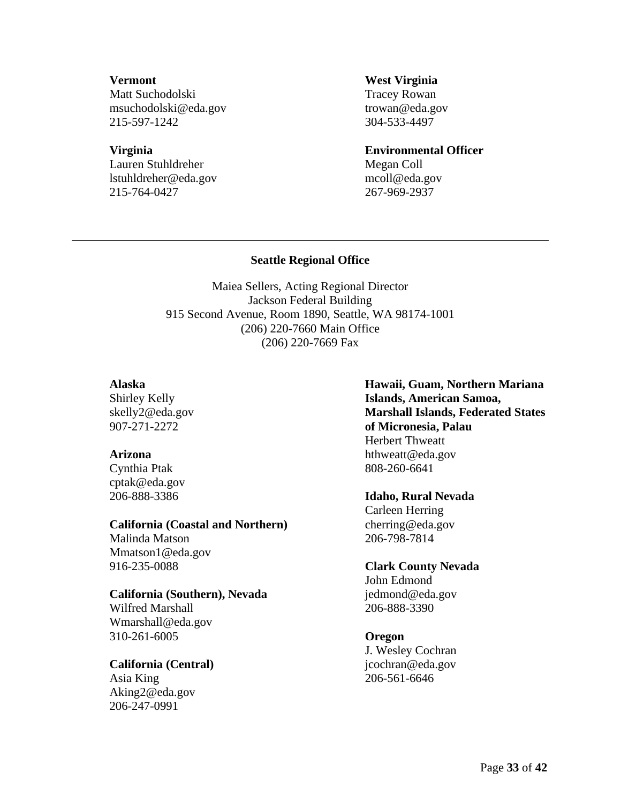### **Vermont**

Matt Suchodolski msuchodolski@eda.gov 215-597-1242

### **Virginia**

Lauren Stuhldreher lstuhldreher@eda.gov 215-764-0427

#### **West Virginia**

Tracey Rowan trowan@eda.gov 304-533-4497

### **Environmental Officer**

Megan Coll mcoll@eda.gov 267-969-2937

## **Seattle Regional Office**

<span id="page-32-0"></span>Maiea Sellers, Acting Regional Director Jackson Federal Building 915 Second Avenue, Room 1890, Seattle, WA 98174-1001 (206) 220-7660 Main Office (206) 220-7669 Fax

## **Alaska**

Shirley Kelly skelly2@eda.gov 907-271-2272

### **Arizona**

Cynthia Ptak cptak@eda.gov 206-888-3386

### **California (Coastal and Northern)**

Malinda Matson Mmatson1@eda.gov 916-235-0088

### **California (Southern), Nevada**

Wilfred Marshall Wmarshall@eda.gov 310-261-6005

### **California (Central)**

Asia King Aking2@eda.gov 206-247-0991

**Hawaii, Guam, Northern Mariana Islands, American Samoa, Marshall Islands, Federated States of Micronesia, Palau** Herbert Thweatt hthweatt@eda.gov 808-260-6641

# **Idaho, Rural Nevada**

Carleen Herring cherring@eda.gov 206-798-7814

# **Clark County Nevada**

John Edmond jedmond@eda.gov 206-888-3390

# **Oregon**

J. Wesley Cochran jcochran@eda.gov 206-561-6646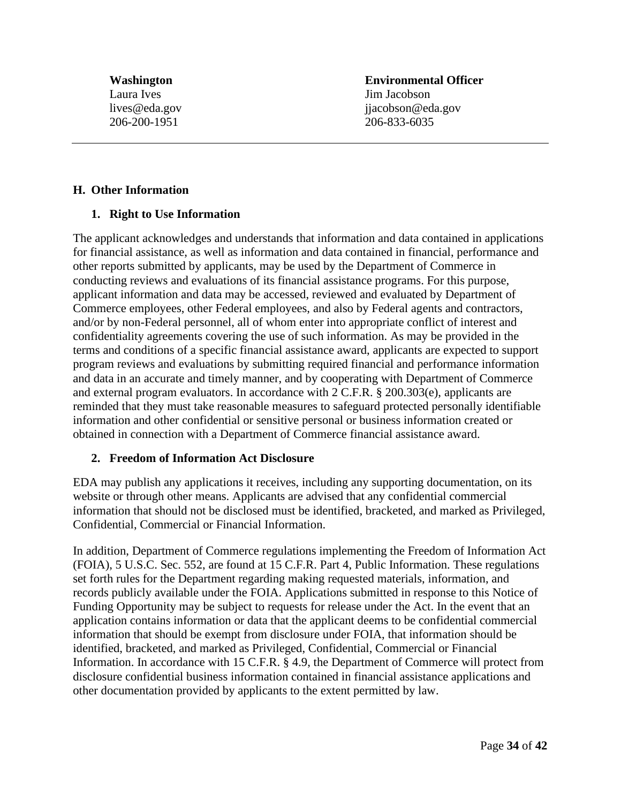**Washington** Laura Ives lives@eda.gov 206-200-1951

**Environmental Officer** Jim Jacobson jjacobson@eda.gov 206-833-6035

#### <span id="page-33-0"></span>**H. Other Information**

#### <span id="page-33-1"></span>**1. Right to Use Information**

The applicant acknowledges and understands that information and data contained in applications for financial assistance, as well as information and data contained in financial, performance and other reports submitted by applicants, may be used by the Department of Commerce in conducting reviews and evaluations of its financial assistance programs. For this purpose, applicant information and data may be accessed, reviewed and evaluated by Department of Commerce employees, other Federal employees, and also by Federal agents and contractors, and/or by non-Federal personnel, all of whom enter into appropriate conflict of interest and confidentiality agreements covering the use of such information. As may be provided in the terms and conditions of a specific financial assistance award, applicants are expected to support program reviews and evaluations by submitting required financial and performance information and data in an accurate and timely manner, and by cooperating with Department of Commerce and external program evaluators. In accordance with 2 C.F.R. § 200.303(e), applicants are reminded that they must take reasonable measures to safeguard protected personally identifiable information and other confidential or sensitive personal or business information created or obtained in connection with a Department of Commerce financial assistance award.

#### <span id="page-33-2"></span>**2. Freedom of Information Act Disclosure**

EDA may publish any applications it receives, including any supporting documentation, on its website or through other means. Applicants are advised that any confidential commercial information that should not be disclosed must be identified, bracketed, and marked as Privileged, Confidential, Commercial or Financial Information.

In addition, Department of Commerce regulations implementing the Freedom of Information Act (FOIA), 5 U.S.C. Sec. 552, are found at 15 C.F.R. Part 4, Public Information. These regulations set forth rules for the Department regarding making requested materials, information, and records publicly available under the FOIA. Applications submitted in response to this Notice of Funding Opportunity may be subject to requests for release under the Act. In the event that an application contains information or data that the applicant deems to be confidential commercial information that should be exempt from disclosure under FOIA, that information should be identified, bracketed, and marked as Privileged, Confidential, Commercial or Financial Information. In accordance with 15 C.F.R. § 4.9, the Department of Commerce will protect from disclosure confidential business information contained in financial assistance applications and other documentation provided by applicants to the extent permitted by law.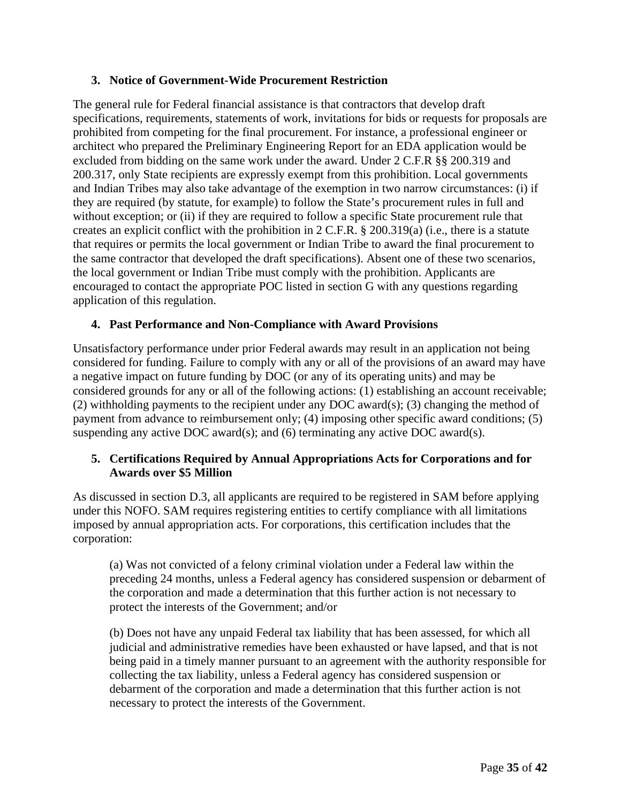## <span id="page-34-0"></span>**3. Notice of Government-Wide Procurement Restriction**

The general rule for Federal financial assistance is that contractors that develop draft specifications, requirements, statements of work, invitations for bids or requests for proposals are prohibited from competing for the final procurement. For instance, a professional engineer or architect who prepared the Preliminary Engineering Report for an EDA application would be excluded from bidding on the same work under the award. Under 2 C.F.R §§ 200.319 and 200.317, only State recipients are expressly exempt from this prohibition. Local governments and Indian Tribes may also take advantage of the exemption in two narrow circumstances: (i) if they are required (by statute, for example) to follow the State's procurement rules in full and without exception; or (ii) if they are required to follow a specific State procurement rule that creates an explicit conflict with the prohibition in 2 C.F.R. § 200.319(a) (i.e., there is a statute that requires or permits the local government or Indian Tribe to award the final procurement to the same contractor that developed the draft specifications). Absent one of these two scenarios, the local government or Indian Tribe must comply with the prohibition. Applicants are encouraged to contact the appropriate POC listed in section [G](#page-28-0) with any questions regarding application of this regulation.

## <span id="page-34-1"></span>**4. Past Performance and Non-Compliance with Award Provisions**

Unsatisfactory performance under prior Federal awards may result in an application not being considered for funding. Failure to comply with any or all of the provisions of an award may have a negative impact on future funding by DOC (or any of its operating units) and may be considered grounds for any or all of the following actions: (1) establishing an account receivable; (2) withholding payments to the recipient under any DOC award(s); (3) changing the method of payment from advance to reimbursement only; (4) imposing other specific award conditions; (5) suspending any active DOC award(s); and (6) terminating any active DOC award(s).

# <span id="page-34-2"></span>**5. Certifications Required by Annual Appropriations Acts for Corporations and for Awards over \$5 Million**

As discussed in section [D.3,](#page-19-0) all applicants are required to be registered in SAM before applying under this NOFO. SAM requires registering entities to certify compliance with all limitations imposed by annual appropriation acts. For corporations, this certification includes that the corporation:

(a) Was not convicted of a felony criminal violation under a Federal law within the preceding 24 months, unless a Federal agency has considered suspension or debarment of the corporation and made a determination that this further action is not necessary to protect the interests of the Government; and/or

(b) Does not have any unpaid Federal tax liability that has been assessed, for which all judicial and administrative remedies have been exhausted or have lapsed, and that is not being paid in a timely manner pursuant to an agreement with the authority responsible for collecting the tax liability, unless a Federal agency has considered suspension or debarment of the corporation and made a determination that this further action is not necessary to protect the interests of the Government.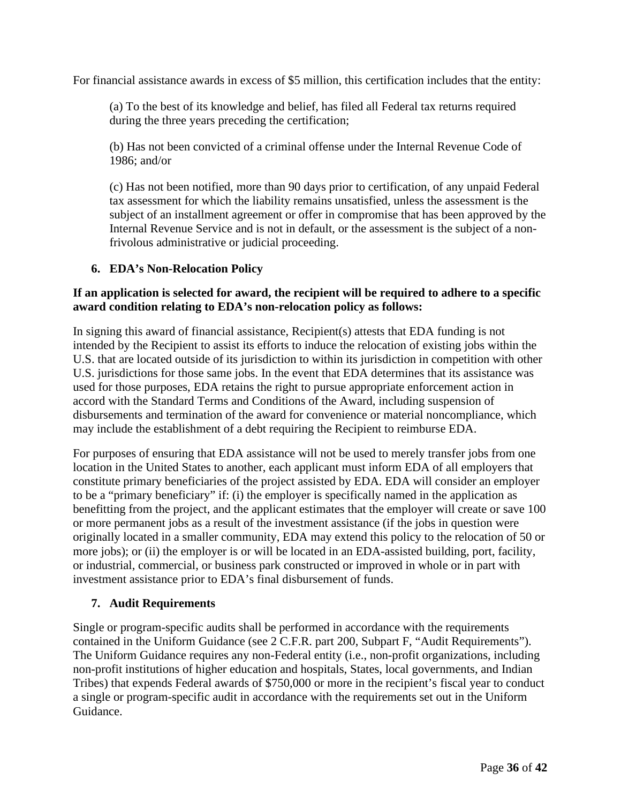For financial assistance awards in excess of \$5 million, this certification includes that the entity:

(a) To the best of its knowledge and belief, has filed all Federal tax returns required during the three years preceding the certification;

(b) Has not been convicted of a criminal offense under the Internal Revenue Code of 1986; and/or

(c) Has not been notified, more than 90 days prior to certification, of any unpaid Federal tax assessment for which the liability remains unsatisfied, unless the assessment is the subject of an installment agreement or offer in compromise that has been approved by the Internal Revenue Service and is not in default, or the assessment is the subject of a nonfrivolous administrative or judicial proceeding.

# <span id="page-35-0"></span>**6. EDA's Non-Relocation Policy**

## **If an application is selected for award, the recipient will be required to adhere to a specific award condition relating to EDA's non-relocation policy as follows:**

In signing this award of financial assistance, Recipient(s) attests that EDA funding is not intended by the Recipient to assist its efforts to induce the relocation of existing jobs within the U.S. that are located outside of its jurisdiction to within its jurisdiction in competition with other U.S. jurisdictions for those same jobs. In the event that EDA determines that its assistance was used for those purposes, EDA retains the right to pursue appropriate enforcement action in accord with the Standard Terms and Conditions of the Award, including suspension of disbursements and termination of the award for convenience or material noncompliance, which may include the establishment of a debt requiring the Recipient to reimburse EDA.

For purposes of ensuring that EDA assistance will not be used to merely transfer jobs from one location in the United States to another, each applicant must inform EDA of all employers that constitute primary beneficiaries of the project assisted by EDA. EDA will consider an employer to be a "primary beneficiary" if: (i) the employer is specifically named in the application as benefitting from the project, and the applicant estimates that the employer will create or save 100 or more permanent jobs as a result of the investment assistance (if the jobs in question were originally located in a smaller community, EDA may extend this policy to the relocation of 50 or more jobs); or (ii) the employer is or will be located in an EDA-assisted building, port, facility, or industrial, commercial, or business park constructed or improved in whole or in part with investment assistance prior to EDA's final disbursement of funds.

# <span id="page-35-1"></span>**7. Audit Requirements**

Single or program-specific audits shall be performed in accordance with the requirements contained in the Uniform Guidance (see 2 C.F.R. part 200, Subpart F, "Audit Requirements"). The Uniform Guidance requires any non-Federal entity (i.e., non-profit organizations, including non-profit institutions of higher education and hospitals, States, local governments, and Indian Tribes) that expends Federal awards of \$750,000 or more in the recipient's fiscal year to conduct a single or program-specific audit in accordance with the requirements set out in the Uniform Guidance.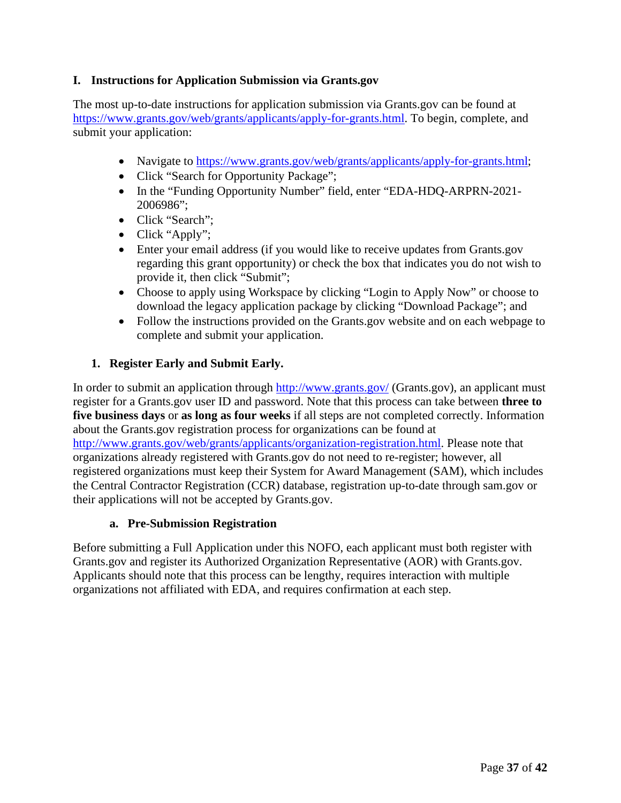## <span id="page-36-0"></span>**I. Instructions for Application Submission via Grants.gov**

The most up-to-date instructions for application submission via Grants.gov can be found at [https://www.grants.gov/web/grants/applicants/apply-for-grants.html.](https://www.grants.gov/web/grants/applicants/apply-for-grants.html) To begin, complete, and submit your application:

- Navigate to [https://www.grants.gov/web/grants/applicants/apply-for-grants.html;](https://www.grants.gov/web/grants/applicants/apply-for-grants.html)
- Click "Search for Opportunity Package";
- In the "Funding Opportunity Number" field, enter "EDA-HDO-ARPRN-2021-2006986";
- Click "Search":
- Click "Apply";
- Enter your email address (if you would like to receive updates from Grants.gov regarding this grant opportunity) or check the box that indicates you do not wish to provide it, then click "Submit";
- Choose to apply using Workspace by clicking "Login to Apply Now" or choose to download the legacy application package by clicking "Download Package"; and
- Follow the instructions provided on the Grants.gov website and on each webpage to complete and submit your application.

## <span id="page-36-1"></span>**1. Register Early and Submit Early.**

In order to submit an application through<http://www.grants.gov/> (Grants.gov), an applicant must register for a Grants.gov user ID and password. Note that this process can take between **three to five business days** or **as long as four weeks** if all steps are not completed correctly. Information about the Grants.gov registration process for organizations can be found at [http://www.grants.gov/web/grants/applicants/organization-registration.html.](http://www.grants.gov/web/grants/applicants/organization-registration.html) Please note that organizations already registered with Grants.gov do not need to re-register; however, all registered organizations must keep their System for Award Management (SAM), which includes the Central Contractor Registration (CCR) database, registration up-to-date through sam.gov or their applications will not be accepted by Grants.gov.

### **a. Pre-Submission Registration**

Before submitting a Full Application under this NOFO, each applicant must both register with Grants.gov and register its Authorized Organization Representative (AOR) with Grants.gov. Applicants should note that this process can be lengthy, requires interaction with multiple organizations not affiliated with EDA, and requires confirmation at each step.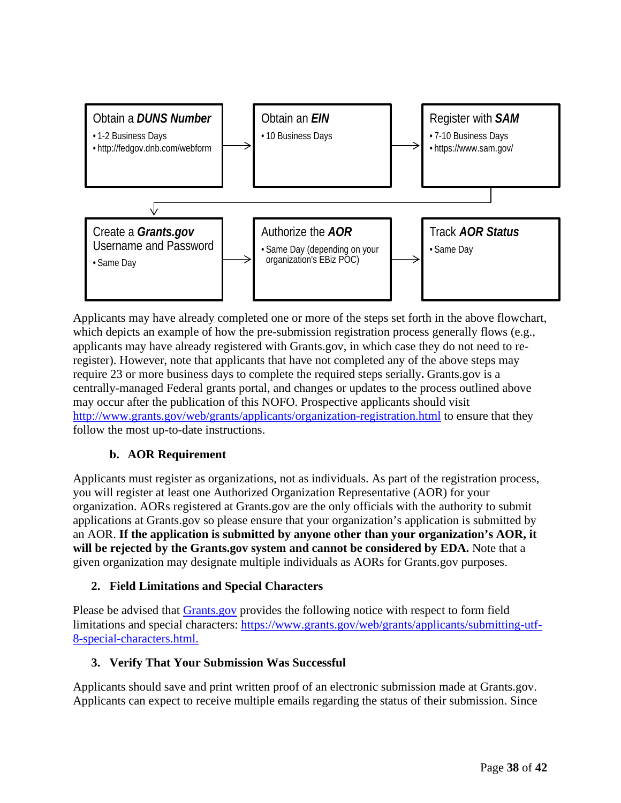

Applicants may have already completed one or more of the steps set forth in the above flowchart, which depicts an example of how the pre-submission registration process generally flows (e.g., applicants may have already registered with Grants.gov, in which case they do not need to reregister). However, note that applicants that have not completed any of the above steps may require 23 or more business days to complete the required steps serially**.** Grants.gov is a centrally-managed Federal grants portal, and changes or updates to the process outlined above may occur after the publication of this NOFO. Prospective applicants should visit <http://www.grants.gov/web/grants/applicants/organization-registration.html> to ensure that they follow the most up-to-date instructions.

# **b. AOR Requirement**

Applicants must register as organizations, not as individuals. As part of the registration process, you will register at least one Authorized Organization Representative (AOR) for your organization. AORs registered at Grants.gov are the only officials with the authority to submit applications at Grants.gov so please ensure that your organization's application is submitted by an AOR. **If the application is submitted by anyone other than your organization's AOR, it will be rejected by the Grants.gov system and cannot be considered by EDA.** Note that a given organization may designate multiple individuals as AORs for Grants.gov purposes.

# <span id="page-37-0"></span>**2. Field Limitations and Special Characters**

Please be advised that [Grants.gov](http://www.grants.gov/) provides the following notice with respect to form field limitations and special characters: [https://www.grants.gov/web/grants/applicants/submitting-utf-](https://www.grants.gov/web/grants/applicants/submitting-utf-8-special-characters.html)[8-special-characters.html.](https://www.grants.gov/web/grants/applicants/submitting-utf-8-special-characters.html)

# <span id="page-37-1"></span>**3. Verify That Your Submission Was Successful**

Applicants should save and print written proof of an electronic submission made at Grants.gov. Applicants can expect to receive multiple emails regarding the status of their submission. Since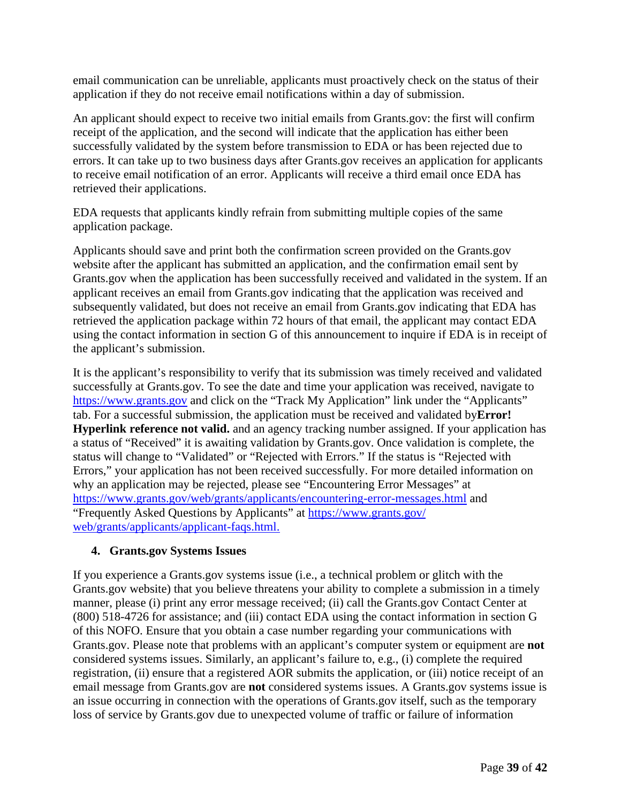email communication can be unreliable, applicants must proactively check on the status of their application if they do not receive email notifications within a day of submission.

An applicant should expect to receive two initial emails from Grants.gov: the first will confirm receipt of the application, and the second will indicate that the application has either been successfully validated by the system before transmission to EDA or has been rejected due to errors. It can take up to two business days after Grants.gov receives an application for applicants to receive email notification of an error. Applicants will receive a third email once EDA has retrieved their applications.

EDA requests that applicants kindly refrain from submitting multiple copies of the same application package.

Applicants should save and print both the confirmation screen provided on the Grants.gov website after the applicant has submitted an application, and the confirmation email sent by Grants.gov when the application has been successfully received and validated in the system. If an applicant receives an email from Grants.gov indicating that the application was received and subsequently validated, but does not receive an email from [Grants.gov i](http://www.grants.gov/)ndicating that EDA has retrieved the application package within 72 hours of that email, the applicant may contact EDA using the contact information in section [G](#page-28-0) of this announcement to inquire if EDA is in receipt of the applicant's submission.

It is the applicant's responsibility to verify that its submission was timely received and validated successfully at Grants.gov. To see the date and time your application was received, navigate to [https://www.grants.gov](https://www.grants.gov/) and click on the "Track My Application" link under the "Applicants" tab. For a successful submission, the application must be received and validated by**Error! Hyperlink reference not valid.** and an agency tracking number assigned. If your application has a status of "Received" it is awaiting validation by Grants.gov. Once validation is complete, the status will change to "Validated" or "Rejected with Errors." If the status is "Rejected with Errors," your application has not been received successfully. For more detailed information on why an application may be rejected, please see "Encountering Error Messages" at [https://www.grants.gov/web/grants/applicants/encountering-error-messages.html](https://www.grants.gov/%E2%80%8Cweb/grants/%E2%80%8Capplicants/%E2%80%8Cencountering-error-messages.html) and "Frequently Asked Questions by Applicants" at [https://www.grants.gov/](https://www.grants.gov/web/grants/applicants/applicant-faqs.html) [web/grants/applicants/applicant-faqs.html.](https://www.grants.gov/web/grants/applicants/applicant-faqs.html)

### <span id="page-38-0"></span>**4. Grants.gov Systems Issues**

If you experience a Grants.gov systems issue (i.e., a technical problem or glitch with the Grants.gov website) that you believe threatens your ability to complete a submission in a timely manner, please (i) print any error message received; (ii) call the Grants.gov Contact Center at (800) 518-4726 for assistance; and (iii) contact EDA using the contact information in section [G](#page-28-0) of this NOFO. Ensure that you obtain a case number regarding your communications with Grants.gov. Please note that problems with an applicant's computer system or equipment are **not** considered systems issues. Similarly, an applicant's failure to, e.g., (i) complete the required registration, (ii) ensure that a registered AOR submits the application, or (iii) notice receipt of an email message from Grants.gov are **not** considered systems issues. A Grants.gov systems issue is an issue occurring in connection with the operations of Grants.gov itself, such as the temporary loss of service by Grants.gov due to unexpected volume of traffic or failure of information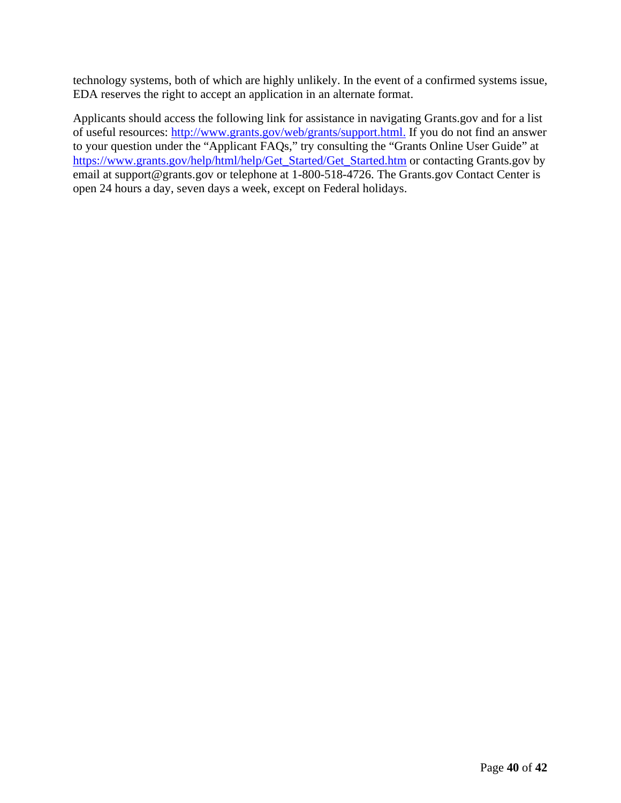technology systems, both of which are highly unlikely. In the event of a confirmed systems issue, EDA reserves the right to accept an application in an alternate format.

Applicants should access the following link for assistance in navigating Grants.gov and for a list of useful resources: [http://www.grants.gov/web/grants/support.html.](http://www.grants.gov/web/grants/support.html) If you do not find an answer to your question under the "Applicant FAQs," try consulting the "Grants Online User Guide" at [https://www.grants.gov/help/html/help/Get\\_Started/Get\\_Started.htm](https://www.grants.gov/help/html/help/Get_Started/Get_Started.htm) or contacting Grants.gov by email at [support@grants.gov o](mailto:support@grants.gov)r telephone at 1-800-518-4726. The Grants.gov Contact Center is open 24 hours a day, seven days a week, except on Federal holidays.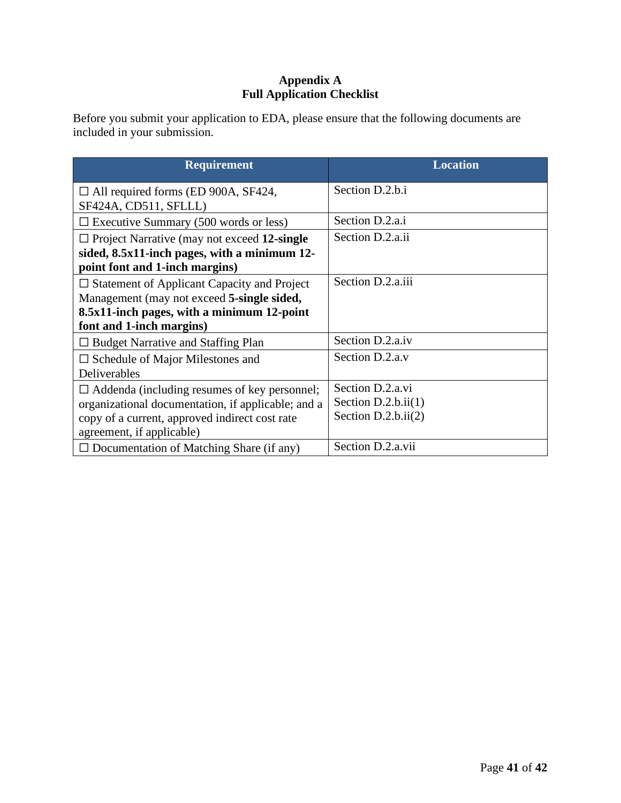# **Appendix A Full Application Checklist**

<span id="page-40-0"></span>Before you submit your application to EDA, please ensure that the following documents are included in your submission.

| <b>Requirement</b>                                                                                                                                                                       | <b>Location</b>                                                    |
|------------------------------------------------------------------------------------------------------------------------------------------------------------------------------------------|--------------------------------------------------------------------|
| $\Box$ All required forms (ED 900A, SF424,<br>SF424A, CD511, SFLLL)                                                                                                                      | Section D.2.b.i                                                    |
| $\Box$ Executive Summary (500 words or less)                                                                                                                                             | Section D.2.a.i                                                    |
| $\Box$ Project Narrative (may not exceed 12-single<br>sided, 8.5x11-inch pages, with a minimum 12-<br>point font and 1-inch margins)                                                     | Section D.2.a.ii                                                   |
| $\Box$ Statement of Applicant Capacity and Project<br>Management (may not exceed 5-single sided,<br>8.5x11-inch pages, with a minimum 12-point<br>font and 1-inch margins)               | Section D.2.a.iii                                                  |
| $\Box$ Budget Narrative and Staffing Plan                                                                                                                                                | Section D.2.a.iv                                                   |
| $\Box$ Schedule of Major Milestones and<br>Deliverables                                                                                                                                  | Section D.2.a.v                                                    |
| $\Box$ Addenda (including resumes of key personnel;<br>organizational documentation, if applicable; and a<br>copy of a current, approved indirect cost rate<br>agreement, if applicable) | Section D.2.a.vi<br>Section $D.2.b.ii(1)$<br>Section $D.2.b.ii(2)$ |
| $\Box$ Documentation of Matching Share (if any)                                                                                                                                          | Section D.2.a.vii                                                  |